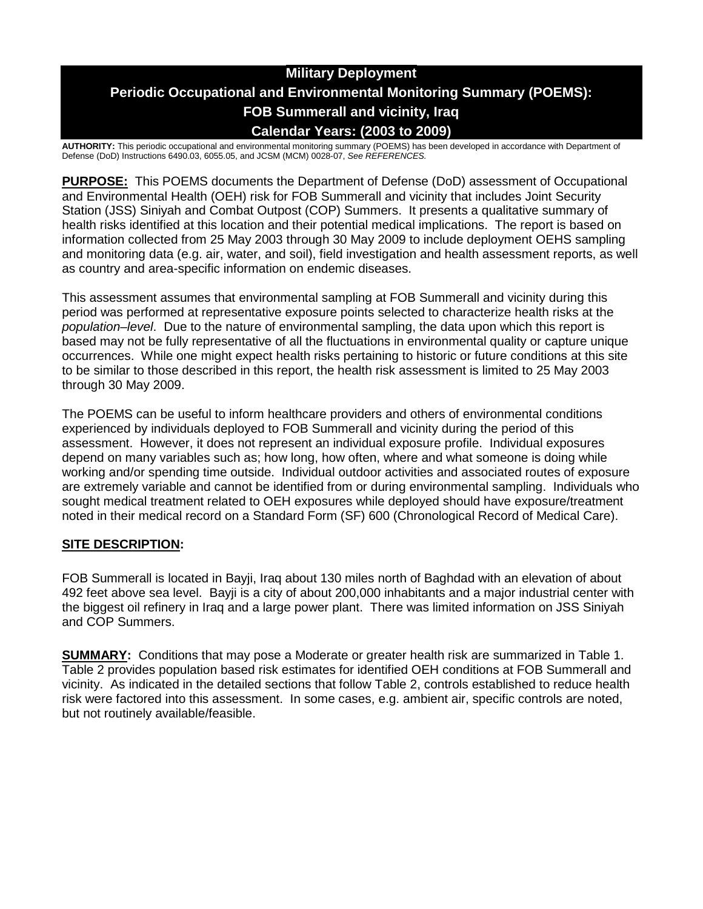# **Military Deployment Periodic Occupational and Environmental Monitoring Summary (POEMS): FOB Summerall and vicinity, Iraq Calendar Years: (2003 to 2009)**

**AUTHORITY:** This periodic occupational and environmental monitoring summary (POEMS) has been developed in accordance with Department of Defense (DoD) Instructions 6490.03, 6055.05, and JCSM (MCM) 0028-07, *See REFERENCES.*

**PURPOSE:** This POEMS documents the Department of Defense (DoD) assessment of Occupational and Environmental Health (OEH) risk for FOB Summerall and vicinity that includes Joint Security Station (JSS) Siniyah and Combat Outpost (COP) Summers. It presents a qualitative summary of health risks identified at this location and their potential medical implications. The report is based on information collected from 25 May 2003 through 30 May 2009 to include deployment OEHS sampling and monitoring data (e.g. air, water, and soil), field investigation and health assessment reports, as well as country and area-specific information on endemic diseases.

This assessment assumes that environmental sampling at FOB Summerall and vicinity during this period was performed at representative exposure points selected to characterize health risks at the *population–level*. Due to the nature of environmental sampling, the data upon which this report is based may not be fully representative of all the fluctuations in environmental quality or capture unique occurrences. While one might expect health risks pertaining to historic or future conditions at this site to be similar to those described in this report, the health risk assessment is limited to 25 May 2003 through 30 May 2009.

The POEMS can be useful to inform healthcare providers and others of environmental conditions experienced by individuals deployed to FOB Summerall and vicinity during the period of this assessment. However, it does not represent an individual exposure profile. Individual exposures depend on many variables such as; how long, how often, where and what someone is doing while working and/or spending time outside. Individual outdoor activities and associated routes of exposure are extremely variable and cannot be identified from or during environmental sampling. Individuals who sought medical treatment related to OEH exposures while deployed should have exposure/treatment noted in their medical record on a Standard Form (SF) 600 (Chronological Record of Medical Care).

### **SITE DESCRIPTION:**

FOB Summerall is located in Bayji, Iraq about 130 miles north of Baghdad with an elevation of about 492 feet above sea level. Bayji is a city of about 200,000 inhabitants and a major industrial center with the biggest oil refinery in Iraq and a large power plant. There was limited information on JSS Siniyah and COP Summers.

**SUMMARY:** Conditions that may pose a Moderate or greater health risk are summarized in Table 1. Table 2 provides population based risk estimates for identified OEH conditions at FOB Summerall and vicinity. As indicated in the detailed sections that follow Table 2, controls established to reduce health risk were factored into this assessment. In some cases, e.g. ambient air, specific controls are noted, but not routinely available/feasible.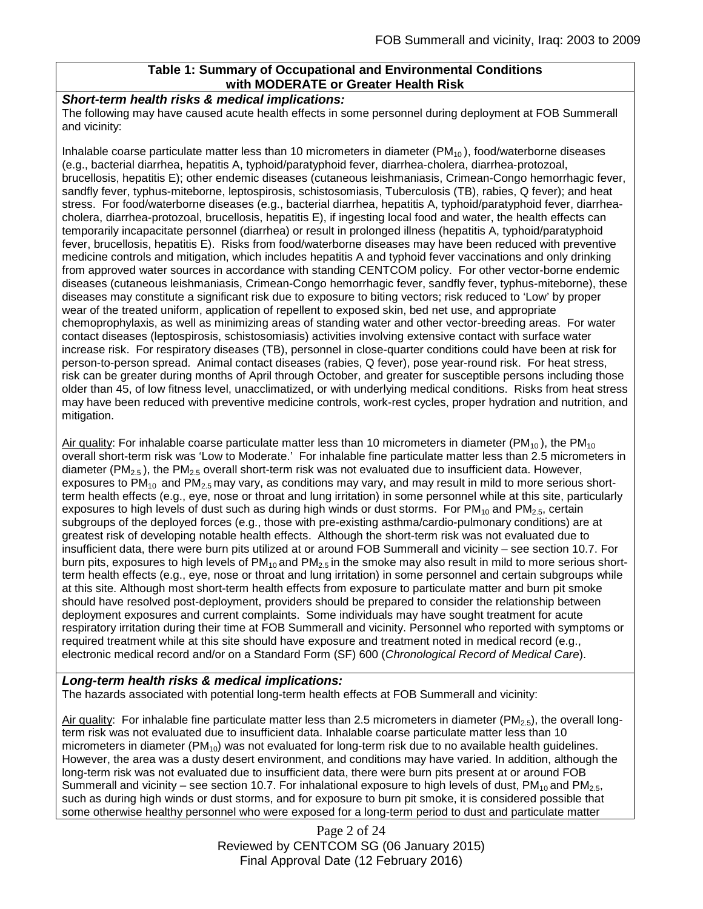### **Table 1: Summary of Occupational and Environmental Conditions with MODERATE or Greater Health Risk**

### *Short-term health risks & medical implications:*

The following may have caused acute health effects in some personnel during deployment at FOB Summerall and vicinity:

Inhalable coarse particulate matter less than 10 micrometers in diameter  $(PM<sub>10</sub>)$ , food/waterborne diseases (e.g., bacterial diarrhea, hepatitis A, typhoid/paratyphoid fever, diarrhea-cholera, diarrhea-protozoal, brucellosis, hepatitis E); other endemic diseases (cutaneous leishmaniasis, Crimean-Congo hemorrhagic fever, sandfly fever, typhus-miteborne, leptospirosis, schistosomiasis, Tuberculosis (TB), rabies, Q fever); and heat stress. For food/waterborne diseases (e.g., bacterial diarrhea, hepatitis A, typhoid/paratyphoid fever, diarrheacholera, diarrhea-protozoal, brucellosis, hepatitis E), if ingesting local food and water, the health effects can temporarily incapacitate personnel (diarrhea) or result in prolonged illness (hepatitis A, typhoid/paratyphoid fever, brucellosis, hepatitis E). Risks from food/waterborne diseases may have been reduced with preventive medicine controls and mitigation, which includes hepatitis A and typhoid fever vaccinations and only drinking from approved water sources in accordance with standing CENTCOM policy. For other vector-borne endemic diseases (cutaneous leishmaniasis, Crimean-Congo hemorrhagic fever, sandfly fever, typhus-miteborne), these diseases may constitute a significant risk due to exposure to biting vectors; risk reduced to 'Low' by proper wear of the treated uniform, application of repellent to exposed skin, bed net use, and appropriate chemoprophylaxis, as well as minimizing areas of standing water and other vector-breeding areas. For water contact diseases (leptospirosis, schistosomiasis) activities involving extensive contact with surface water increase risk. For respiratory diseases (TB), personnel in close-quarter conditions could have been at risk for person-to-person spread. Animal contact diseases (rabies, Q fever), pose year-round risk. For heat stress, risk can be greater during months of April through October, and greater for susceptible persons including those older than 45, of low fitness level, unacclimatized, or with underlying medical conditions. Risks from heat stress may have been reduced with preventive medicine controls, work-rest cycles, proper hydration and nutrition, and mitigation.

Air quality: For inhalable coarse particulate matter less than 10 micrometers in diameter ( $PM_{10}$ ), the PM<sub>10</sub> overall short-term risk was 'Low to Moderate.' For inhalable fine particulate matter less than 2.5 micrometers in diameter (PM<sub>2.5</sub>), the PM<sub>2.5</sub> overall short-term risk was not evaluated due to insufficient data. However, exposures to  $PM_{10}$  and  $PM_{2.5}$  may vary, as conditions may vary, and may result in mild to more serious shortterm health effects (e.g., eye, nose or throat and lung irritation) in some personnel while at this site, particularly exposures to high levels of dust such as during high winds or dust storms. For  $PM_{10}$  and  $PM_{2.5}$ , certain subgroups of the deployed forces (e.g., those with pre-existing asthma/cardio-pulmonary conditions) are at greatest risk of developing notable health effects. Although the short-term risk was not evaluated due to insufficient data, there were burn pits utilized at or around FOB Summerall and vicinity – see section 10.7. For burn pits, exposures to high levels of  $PM_{10}$  and  $PM_{2.5}$  in the smoke may also result in mild to more serious shortterm health effects (e.g., eye, nose or throat and lung irritation) in some personnel and certain subgroups while at this site. Although most short-term health effects from exposure to particulate matter and burn pit smoke should have resolved post-deployment, providers should be prepared to consider the relationship between deployment exposures and current complaints. Some individuals may have sought treatment for acute respiratory irritation during their time at FOB Summerall and vicinity. Personnel who reported with symptoms or required treatment while at this site should have exposure and treatment noted in medical record (e.g., electronic medical record and/or on a Standard Form (SF) 600 (*Chronological Record of Medical Care*).

### *Long-term health risks & medical implications:*

The hazards associated with potential long-term health effects at FOB Summerall and vicinity:

Air quality: For inhalable fine particulate matter less than 2.5 micrometers in diameter (PM<sub>2.5</sub>), the overall longterm risk was not evaluated due to insufficient data. Inhalable coarse particulate matter less than 10 micrometers in diameter ( $PM_{10}$ ) was not evaluated for long-term risk due to no available health guidelines. However, the area was a dusty desert environment, and conditions may have varied. In addition, although the long-term risk was not evaluated due to insufficient data, there were burn pits present at or around FOB Summerall and vicinity – see section 10.7. For inhalational exposure to high levels of dust,  $PM_{10}$  and  $PM_{2.5}$ , such as during high winds or dust storms, and for exposure to burn pit smoke, it is considered possible that some otherwise healthy personnel who were exposed for a long-term period to dust and particulate matter

> Page 2 of 24 Reviewed by CENTCOM SG (06 January 2015) Final Approval Date (12 February 2016)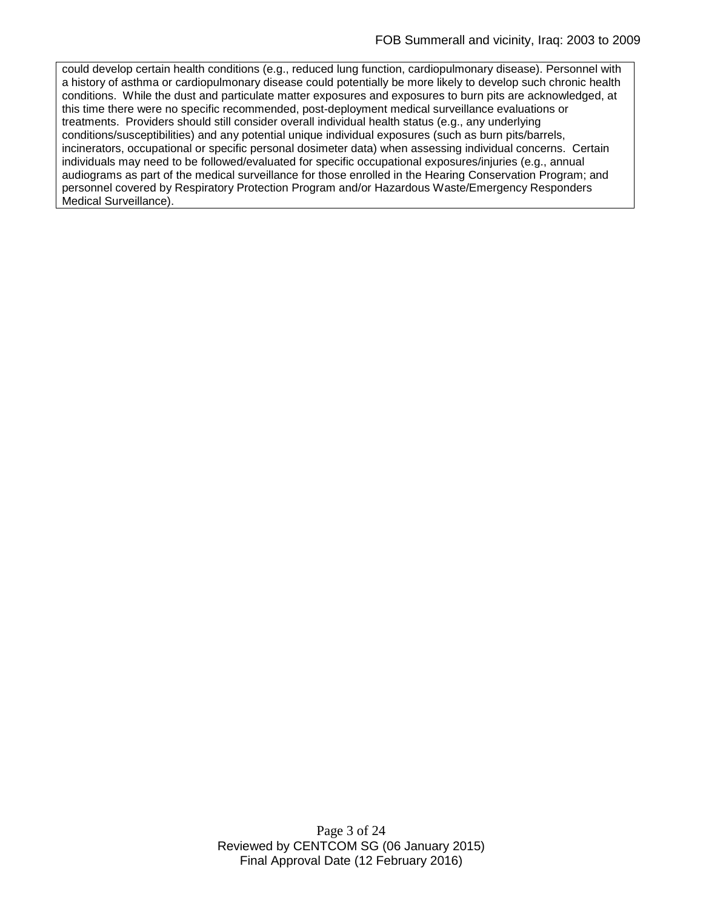could develop certain health conditions (e.g., reduced lung function, cardiopulmonary disease). Personnel with a history of asthma or cardiopulmonary disease could potentially be more likely to develop such chronic health conditions. While the dust and particulate matter exposures and exposures to burn pits are acknowledged, at this time there were no specific recommended, post-deployment medical surveillance evaluations or treatments. Providers should still consider overall individual health status (e.g., any underlying conditions/susceptibilities) and any potential unique individual exposures (such as burn pits/barrels, incinerators, occupational or specific personal dosimeter data) when assessing individual concerns. Certain individuals may need to be followed/evaluated for specific occupational exposures/injuries (e.g., annual audiograms as part of the medical surveillance for those enrolled in the Hearing Conservation Program; and personnel covered by Respiratory Protection Program and/or Hazardous Waste/Emergency Responders Medical Surveillance).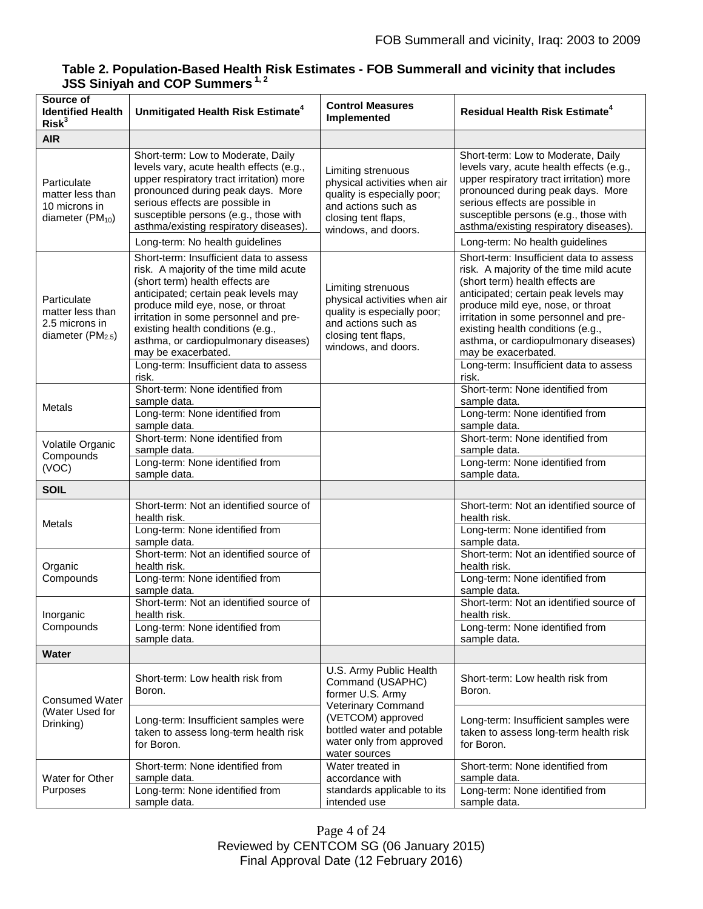### **Table 2. Population-Based Health Risk Estimates - FOB Summerall and vicinity that includes JSS Siniyah and COP Summers 1, 2**

| Source of<br><b>Identified Health</b><br>Risk <sup>3</sup>               | Unmitigated Health Risk Estimate <sup>4</sup>                                                                                                                                                                                                                                                                                                                                             | <b>Control Measures</b><br>Implemented                                                                                                                 | Residual Health Risk Estimate <sup>4</sup>                                                                                                                                                                                                                                                                                                                                                |
|--------------------------------------------------------------------------|-------------------------------------------------------------------------------------------------------------------------------------------------------------------------------------------------------------------------------------------------------------------------------------------------------------------------------------------------------------------------------------------|--------------------------------------------------------------------------------------------------------------------------------------------------------|-------------------------------------------------------------------------------------------------------------------------------------------------------------------------------------------------------------------------------------------------------------------------------------------------------------------------------------------------------------------------------------------|
| <b>AIR</b>                                                               |                                                                                                                                                                                                                                                                                                                                                                                           |                                                                                                                                                        |                                                                                                                                                                                                                                                                                                                                                                                           |
| Particulate<br>matter less than<br>10 microns in<br>diameter $(PM_{10})$ | Short-term: Low to Moderate, Daily<br>levels vary, acute health effects (e.g.,<br>upper respiratory tract irritation) more<br>pronounced during peak days. More<br>serious effects are possible in<br>susceptible persons (e.g., those with<br>asthma/existing respiratory diseases).                                                                                                     | Limiting strenuous<br>physical activities when air<br>quality is especially poor;<br>and actions such as<br>closing tent flaps,<br>windows, and doors. | Short-term: Low to Moderate, Daily<br>levels vary, acute health effects (e.g.,<br>upper respiratory tract irritation) more<br>pronounced during peak days. More<br>serious effects are possible in<br>susceptible persons (e.g., those with<br>asthma/existing respiratory diseases).                                                                                                     |
|                                                                          | Long-term: No health guidelines                                                                                                                                                                                                                                                                                                                                                           |                                                                                                                                                        | Long-term: No health guidelines                                                                                                                                                                                                                                                                                                                                                           |
| Particulate<br>matter less than<br>2.5 microns in<br>diameter $(PM2.5)$  | Short-term: Insufficient data to assess<br>risk. A majority of the time mild acute<br>(short term) health effects are<br>anticipated; certain peak levels may<br>produce mild eye, nose, or throat<br>irritation in some personnel and pre-<br>existing health conditions (e.g.,<br>asthma, or cardiopulmonary diseases)<br>may be exacerbated.<br>Long-term: Insufficient data to assess | Limiting strenuous<br>physical activities when air<br>quality is especially poor;<br>and actions such as<br>closing tent flaps,<br>windows, and doors. | Short-term: Insufficient data to assess<br>risk. A majority of the time mild acute<br>(short term) health effects are<br>anticipated; certain peak levels may<br>produce mild eye, nose, or throat<br>irritation in some personnel and pre-<br>existing health conditions (e.g.,<br>asthma, or cardiopulmonary diseases)<br>may be exacerbated.<br>Long-term: Insufficient data to assess |
|                                                                          | risk.<br>Short-term: None identified from                                                                                                                                                                                                                                                                                                                                                 |                                                                                                                                                        | risk.<br>Short-term: None identified from                                                                                                                                                                                                                                                                                                                                                 |
| <b>Metals</b>                                                            | sample data.<br>Long-term: None identified from<br>sample data.                                                                                                                                                                                                                                                                                                                           |                                                                                                                                                        | sample data.<br>Long-term: None identified from<br>sample data.                                                                                                                                                                                                                                                                                                                           |
| Volatile Organic<br>Compounds                                            | Short-term: None identified from<br>sample data.<br>Long-term: None identified from                                                                                                                                                                                                                                                                                                       |                                                                                                                                                        | Short-term: None identified from<br>sample data.<br>Long-term: None identified from                                                                                                                                                                                                                                                                                                       |
| (VOC)                                                                    | sample data.                                                                                                                                                                                                                                                                                                                                                                              |                                                                                                                                                        | sample data.                                                                                                                                                                                                                                                                                                                                                                              |
| <b>SOIL</b>                                                              |                                                                                                                                                                                                                                                                                                                                                                                           |                                                                                                                                                        |                                                                                                                                                                                                                                                                                                                                                                                           |
| Metals                                                                   | Short-term: Not an identified source of<br>health risk.<br>Long-term: None identified from                                                                                                                                                                                                                                                                                                |                                                                                                                                                        | Short-term: Not an identified source of<br>health risk.<br>Long-term: None identified from                                                                                                                                                                                                                                                                                                |
|                                                                          | sample data.                                                                                                                                                                                                                                                                                                                                                                              |                                                                                                                                                        | sample data.                                                                                                                                                                                                                                                                                                                                                                              |
| Organic<br>Compounds                                                     | Short-term: Not an identified source of<br>health risk.<br>Long-term: None identified from                                                                                                                                                                                                                                                                                                |                                                                                                                                                        | Short-term: Not an identified source of<br>health risk.                                                                                                                                                                                                                                                                                                                                   |
|                                                                          | sample data.                                                                                                                                                                                                                                                                                                                                                                              |                                                                                                                                                        | Long-term: None identified from<br>sample data.                                                                                                                                                                                                                                                                                                                                           |
| Inorganic<br>Compounds                                                   | Short-term: Not an identified source of<br>health risk.                                                                                                                                                                                                                                                                                                                                   |                                                                                                                                                        | Short-term: Not an identified source of<br>health risk.                                                                                                                                                                                                                                                                                                                                   |
|                                                                          | Long-term: None identified from<br>sample data.                                                                                                                                                                                                                                                                                                                                           |                                                                                                                                                        | Long-term: None identified from<br>sample data.                                                                                                                                                                                                                                                                                                                                           |
| Water                                                                    |                                                                                                                                                                                                                                                                                                                                                                                           |                                                                                                                                                        |                                                                                                                                                                                                                                                                                                                                                                                           |
| Consumed Water<br>(Water Used for<br>Drinking)                           | Short-term: Low health risk from<br>Boron.                                                                                                                                                                                                                                                                                                                                                | U.S. Army Public Health<br>Command (USAPHC)<br>former U.S. Army<br><b>Veterinary Command</b>                                                           | Short-term: Low health risk from<br>Boron.                                                                                                                                                                                                                                                                                                                                                |
|                                                                          | Long-term: Insufficient samples were<br>taken to assess long-term health risk<br>for Boron.                                                                                                                                                                                                                                                                                               | (VETCOM) approved<br>bottled water and potable<br>water only from approved<br>water sources                                                            | Long-term: Insufficient samples were<br>taken to assess long-term health risk<br>for Boron.                                                                                                                                                                                                                                                                                               |
| Water for Other<br>Purposes                                              | Short-term: None identified from<br>sample data.                                                                                                                                                                                                                                                                                                                                          | Water treated in<br>accordance with                                                                                                                    | Short-term: None identified from<br>sample data.                                                                                                                                                                                                                                                                                                                                          |
|                                                                          | Long-term: None identified from<br>sample data.                                                                                                                                                                                                                                                                                                                                           | standards applicable to its<br>intended use                                                                                                            | Long-term: None identified from<br>sample data.                                                                                                                                                                                                                                                                                                                                           |

Page 4 of 24 Reviewed by CENTCOM SG (06 January 2015) Final Approval Date (12 February 2016)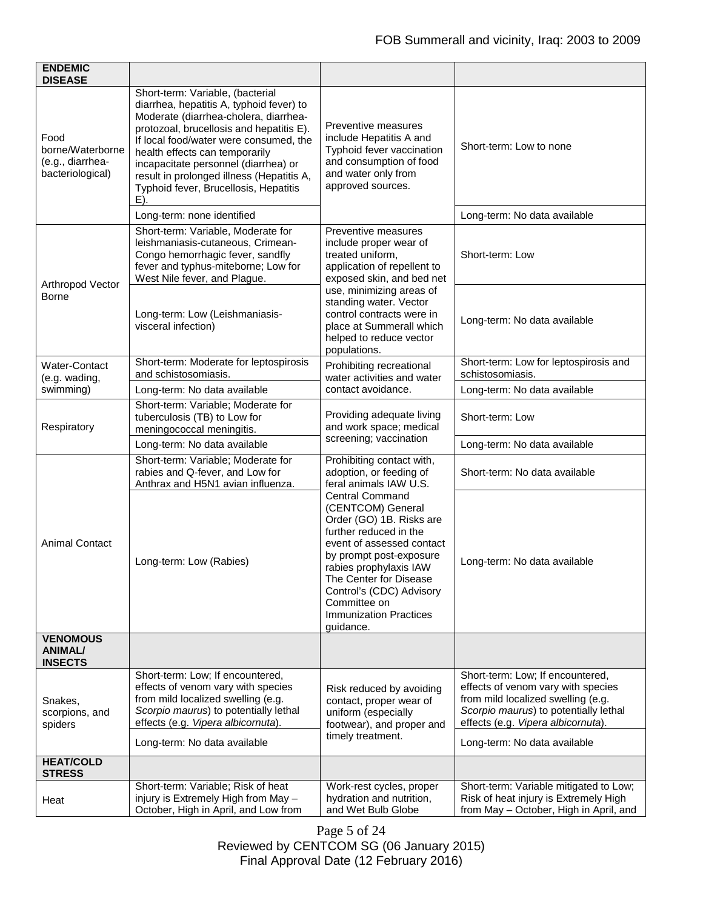| <b>ENDEMIC</b><br><b>DISEASE</b>                                 |                                                                                                                                                                                                                                                                                                                                                                                       |                                                                                                                                                                                                                                                                                                         |                                                                                                                                                                                             |
|------------------------------------------------------------------|---------------------------------------------------------------------------------------------------------------------------------------------------------------------------------------------------------------------------------------------------------------------------------------------------------------------------------------------------------------------------------------|---------------------------------------------------------------------------------------------------------------------------------------------------------------------------------------------------------------------------------------------------------------------------------------------------------|---------------------------------------------------------------------------------------------------------------------------------------------------------------------------------------------|
| Food<br>borne/Waterborne<br>(e.g., diarrhea-<br>bacteriological) | Short-term: Variable, (bacterial<br>diarrhea, hepatitis A, typhoid fever) to<br>Moderate (diarrhea-cholera, diarrhea-<br>protozoal, brucellosis and hepatitis E).<br>If local food/water were consumed, the<br>health effects can temporarily<br>incapacitate personnel (diarrhea) or<br>result in prolonged illness (Hepatitis A,<br>Typhoid fever, Brucellosis, Hepatitis<br>$E$ ). | Preventive measures<br>include Hepatitis A and<br>Typhoid fever vaccination<br>and consumption of food<br>and water only from<br>approved sources.                                                                                                                                                      | Short-term: Low to none                                                                                                                                                                     |
|                                                                  | Long-term: none identified                                                                                                                                                                                                                                                                                                                                                            |                                                                                                                                                                                                                                                                                                         | Long-term: No data available                                                                                                                                                                |
| Arthropod Vector<br><b>Borne</b>                                 | Short-term: Variable, Moderate for<br>leishmaniasis-cutaneous, Crimean-<br>Congo hemorrhagic fever, sandfly<br>fever and typhus-miteborne; Low for<br>West Nile fever, and Plague.                                                                                                                                                                                                    | Preventive measures<br>include proper wear of<br>treated uniform,<br>application of repellent to<br>exposed skin, and bed net                                                                                                                                                                           | Short-term: Low                                                                                                                                                                             |
|                                                                  | Long-term: Low (Leishmaniasis-<br>visceral infection)                                                                                                                                                                                                                                                                                                                                 | use, minimizing areas of<br>standing water. Vector<br>control contracts were in<br>place at Summerall which<br>helped to reduce vector<br>populations.                                                                                                                                                  | Long-term: No data available                                                                                                                                                                |
| Water-Contact<br>(e.g. wading,                                   | Short-term: Moderate for leptospirosis<br>and schistosomiasis.                                                                                                                                                                                                                                                                                                                        | Prohibiting recreational<br>water activities and water<br>contact avoidance.                                                                                                                                                                                                                            | Short-term: Low for leptospirosis and<br>schistosomiasis.                                                                                                                                   |
| swimming)                                                        | Long-term: No data available                                                                                                                                                                                                                                                                                                                                                          |                                                                                                                                                                                                                                                                                                         | Long-term: No data available                                                                                                                                                                |
| Respiratory                                                      | Short-term: Variable; Moderate for<br>tuberculosis (TB) to Low for<br>meningococcal meningitis.                                                                                                                                                                                                                                                                                       | Providing adequate living<br>and work space; medical<br>screening; vaccination                                                                                                                                                                                                                          | Short-term: Low                                                                                                                                                                             |
|                                                                  | Long-term: No data available                                                                                                                                                                                                                                                                                                                                                          |                                                                                                                                                                                                                                                                                                         | Long-term: No data available                                                                                                                                                                |
| <b>Animal Contact</b>                                            | Short-term: Variable; Moderate for<br>rabies and Q-fever, and Low for<br>Anthrax and H5N1 avian influenza.                                                                                                                                                                                                                                                                            | Prohibiting contact with,<br>adoption, or feeding of<br>feral animals IAW U.S.                                                                                                                                                                                                                          | Short-term: No data available                                                                                                                                                               |
|                                                                  | Long-term: Low (Rabies)                                                                                                                                                                                                                                                                                                                                                               | <b>Central Command</b><br>(CENTCOM) General<br>Order (GO) 1B. Risks are<br>further reduced in the<br>event of assessed contact<br>by prompt post-exposure<br>rabies prophylaxis IAW<br>The Center for Disease<br>Control's (CDC) Advisory<br>Committee on<br><b>Immunization Practices</b><br>quidance. | Long-term: No data available                                                                                                                                                                |
| <b>VENOMOUS</b><br><b>ANIMAL/</b><br><b>INSECTS</b>              |                                                                                                                                                                                                                                                                                                                                                                                       |                                                                                                                                                                                                                                                                                                         |                                                                                                                                                                                             |
| Snakes,<br>scorpions, and<br>spiders                             | Short-term: Low; If encountered,<br>effects of venom vary with species<br>from mild localized swelling (e.g.<br>Scorpio maurus) to potentially lethal<br>effects (e.g. Vipera albicornuta).                                                                                                                                                                                           | Risk reduced by avoiding<br>contact, proper wear of<br>uniform (especially<br>footwear), and proper and<br>timely treatment.                                                                                                                                                                            | Short-term: Low; If encountered,<br>effects of venom vary with species<br>from mild localized swelling (e.g.<br>Scorpio maurus) to potentially lethal<br>effects (e.g. Vipera albicornuta). |
|                                                                  | Long-term: No data available                                                                                                                                                                                                                                                                                                                                                          |                                                                                                                                                                                                                                                                                                         | Long-term: No data available                                                                                                                                                                |
| <b>HEAT/COLD</b><br><b>STRESS</b>                                |                                                                                                                                                                                                                                                                                                                                                                                       |                                                                                                                                                                                                                                                                                                         |                                                                                                                                                                                             |
| Heat                                                             | Short-term: Variable; Risk of heat<br>injury is Extremely High from May -<br>October, High in April, and Low from                                                                                                                                                                                                                                                                     | Work-rest cycles, proper<br>hydration and nutrition,<br>and Wet Bulb Globe                                                                                                                                                                                                                              | Short-term: Variable mitigated to Low;<br>Risk of heat injury is Extremely High<br>from May - October, High in April, and                                                                   |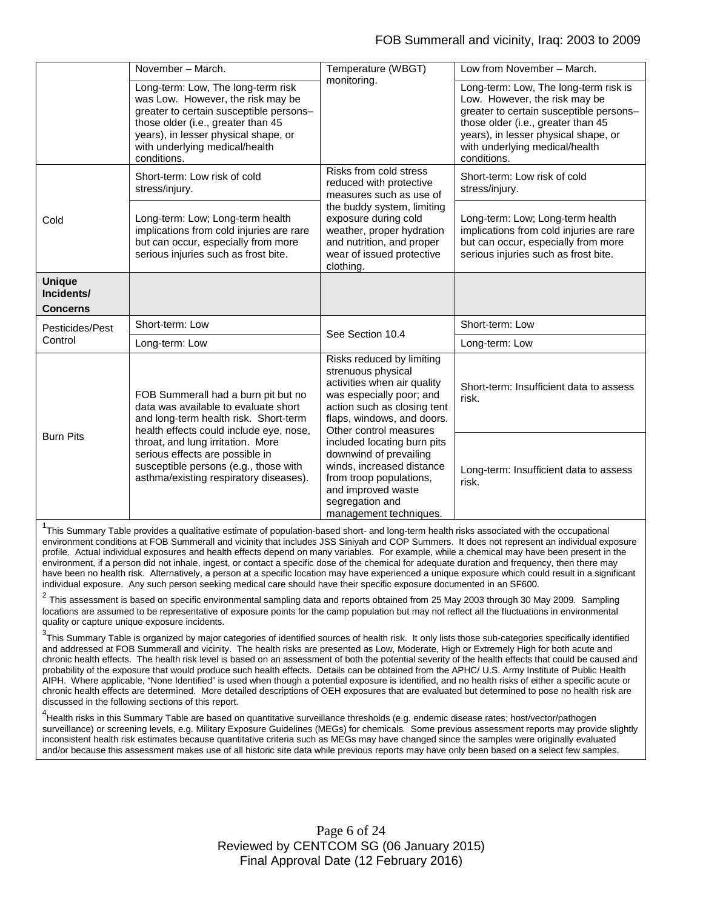|                                                | November - March.                                                                                                                                                                                                                                                                                                          | Temperature (WBGT)                                                                                                                                                                                                                                                                                                                                                                    | Low from November - March.                                                                                                                                                                                                                       |
|------------------------------------------------|----------------------------------------------------------------------------------------------------------------------------------------------------------------------------------------------------------------------------------------------------------------------------------------------------------------------------|---------------------------------------------------------------------------------------------------------------------------------------------------------------------------------------------------------------------------------------------------------------------------------------------------------------------------------------------------------------------------------------|--------------------------------------------------------------------------------------------------------------------------------------------------------------------------------------------------------------------------------------------------|
|                                                | Long-term: Low, The long-term risk<br>was Low. However, the risk may be<br>greater to certain susceptible persons-<br>those older (i.e., greater than 45<br>years), in lesser physical shape, or<br>with underlying medical/health<br>conditions.                                                                          | monitoring.                                                                                                                                                                                                                                                                                                                                                                           | Long-term: Low, The long-term risk is<br>Low. However, the risk may be<br>greater to certain susceptible persons-<br>those older (i.e., greater than 45<br>years), in lesser physical shape, or<br>with underlying medical/health<br>conditions. |
| Cold                                           | Short-term: Low risk of cold<br>stress/injury.                                                                                                                                                                                                                                                                             | Risks from cold stress<br>reduced with protective<br>measures such as use of<br>the buddy system, limiting<br>exposure during cold<br>weather, proper hydration<br>and nutrition, and proper<br>wear of issued protective<br>clothing.                                                                                                                                                | Short-term: Low risk of cold<br>stress/injury.                                                                                                                                                                                                   |
|                                                | Long-term: Low; Long-term health<br>implications from cold injuries are rare<br>but can occur, especially from more<br>serious injuries such as frost bite.                                                                                                                                                                |                                                                                                                                                                                                                                                                                                                                                                                       | Long-term: Low; Long-term health<br>implications from cold injuries are rare<br>but can occur, especially from more<br>serious injuries such as frost bite.                                                                                      |
| <b>Unique</b><br>Incidents/<br><b>Concerns</b> |                                                                                                                                                                                                                                                                                                                            |                                                                                                                                                                                                                                                                                                                                                                                       |                                                                                                                                                                                                                                                  |
| Pesticides/Pest                                | Short-term: Low                                                                                                                                                                                                                                                                                                            | See Section 10.4                                                                                                                                                                                                                                                                                                                                                                      | Short-term: Low                                                                                                                                                                                                                                  |
| Control                                        | Long-term: Low                                                                                                                                                                                                                                                                                                             |                                                                                                                                                                                                                                                                                                                                                                                       | Long-term: Low                                                                                                                                                                                                                                   |
| <b>Burn Pits</b>                               | FOB Summerall had a burn pit but no<br>data was available to evaluate short<br>and long-term health risk. Short-term<br>health effects could include eye, nose,<br>throat, and lung irritation. More<br>serious effects are possible in<br>susceptible persons (e.g., those with<br>asthma/existing respiratory diseases). | Risks reduced by limiting<br>strenuous physical<br>activities when air quality<br>was especially poor; and<br>action such as closing tent<br>flaps, windows, and doors.<br>Other control measures<br>included locating burn pits<br>downwind of prevailing<br>winds, increased distance<br>from troop populations,<br>and improved waste<br>segregation and<br>management techniques. | Short-term: Insufficient data to assess<br>risk.                                                                                                                                                                                                 |
|                                                |                                                                                                                                                                                                                                                                                                                            |                                                                                                                                                                                                                                                                                                                                                                                       | Long-term: Insufficient data to assess<br>risk.                                                                                                                                                                                                  |

<sup>1</sup>This Summary Table provides a qualitative estimate of population-based short- and long-term health risks associated with the occupational environment conditions at FOB Summerall and vicinity that includes JSS Siniyah and COP Summers. It does not represent an individual exposure profile. Actual individual exposures and health effects depend on many variables. For example, while a chemical may have been present in the environment, if a person did not inhale, ingest, or contact a specific dose of the chemical for adequate duration and frequency, then there may have been no health risk. Alternatively, a person at a specific location may have experienced a unique exposure which could result in a significant individual exposure. Any such person seeking medical care should have their specific exposure documented in an SF600.

 $2$  This assessment is based on specific environmental sampling data and reports obtained from 25 May 2003 through 30 May 2009. Sampling locations are assumed to be representative of exposure points for the camp population but may not reflect all the fluctuations in environmental quality or capture unique exposure incidents.

 $^3$ This Summary Table is organized by major categories of identified sources of health risk. It only lists those sub-categories specifically identified and addressed at FOB Summerall and vicinity. The health risks are presented as Low, Moderate, High or Extremely High for both acute and chronic health effects. The health risk level is based on an assessment of both the potential severity of the health effects that could be caused and probability of the exposure that would produce such health effects. Details can be obtained from the APHC/ U.S. Army Institute of Public Health AIPH. Where applicable, "None Identified" is used when though a potential exposure is identified, and no health risks of either a specific acute or chronic health effects are determined. More detailed descriptions of OEH exposures that are evaluated but determined to pose no health risk are discussed in the following sections of this report.

4 Health risks in this Summary Table are based on quantitative surveillance thresholds (e.g. endemic disease rates; host/vector/pathogen surveillance) or screening levels, e.g. Military Exposure Guidelines (MEGs) for chemicals*.* Some previous assessment reports may provide slightly inconsistent health risk estimates because quantitative criteria such as MEGs may have changed since the samples were originally evaluated and/or because this assessment makes use of all historic site data while previous reports may have only been based on a select few samples.

> Page 6 of 24 Reviewed by CENTCOM SG (06 January 2015) Final Approval Date (12 February 2016)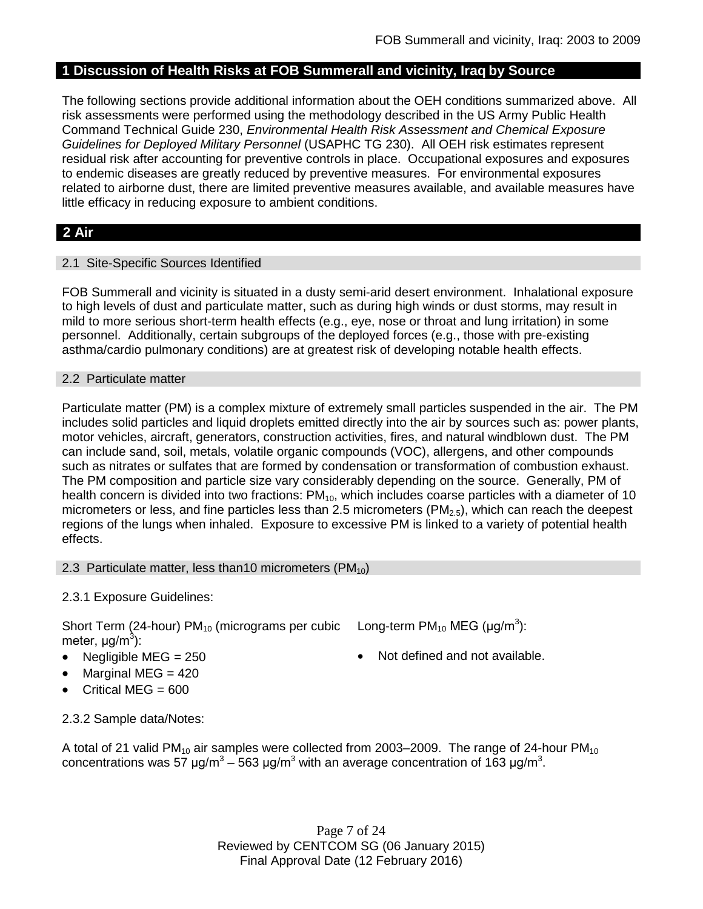### **1 Discussion of Health Risks at FOB Summerall and vicinity, Iraq by Source**

The following sections provide additional information about the OEH conditions summarized above. All risk assessments were performed using the methodology described in the US Army Public Health Command Technical Guide 230, *Environmental Health Risk Assessment and Chemical Exposure Guidelines for Deployed Military Personnel* (USAPHC TG 230). All OEH risk estimates represent residual risk after accounting for preventive controls in place. Occupational exposures and exposures to endemic diseases are greatly reduced by preventive measures. For environmental exposures related to airborne dust, there are limited preventive measures available, and available measures have little efficacy in reducing exposure to ambient conditions.

### **2 Air**

### 2.1 Site-Specific Sources Identified

FOB Summerall and vicinity is situated in a dusty semi-arid desert environment. Inhalational exposure to high levels of dust and particulate matter, such as during high winds or dust storms, may result in mild to more serious short-term health effects (e.g., eye, nose or throat and lung irritation) in some personnel. Additionally, certain subgroups of the deployed forces (e.g., those with pre-existing asthma/cardio pulmonary conditions) are at greatest risk of developing notable health effects.

### 2.2 Particulate matter

Particulate matter (PM) is a complex mixture of extremely small particles suspended in the air. The PM includes solid particles and liquid droplets emitted directly into the air by sources such as: power plants, motor vehicles, aircraft, generators, construction activities, fires, and natural windblown dust. The PM can include sand, soil, metals, volatile organic compounds (VOC), allergens, and other compounds such as nitrates or sulfates that are formed by condensation or transformation of combustion exhaust. The PM composition and particle size vary considerably depending on the source. Generally, PM of health concern is divided into two fractions:  $PM_{10}$ , which includes coarse particles with a diameter of 10 micrometers or less, and fine particles less than 2.5 micrometers ( $PM<sub>2.5</sub>$ ), which can reach the deepest regions of the lungs when inhaled. Exposure to excessive PM is linked to a variety of potential health effects.

### 2.3 Particulate matter, less than10 micrometers  $(PM_{10})$

### 2.3.1 Exposure Guidelines:

Short Term (24-hour) PM<sub>10</sub> (micrograms per cubic Long-term PM<sub>10</sub> MEG (µg/m<sup>3</sup>): meter, μg/m<sup>3</sup>):

- 
- Marginal MEG = 420
- Critical MEG = 600
- 
- Negligible MEG = 250 Not defined and not available.

2.3.2 Sample data/Notes:

A total of 21 valid PM<sub>10</sub> air samples were collected from 2003–2009. The range of 24-hour PM<sub>10</sub> concentrations was 57 μg/m<sup>3</sup> – 563 μg/m<sup>3</sup> with an average concentration of 163 μg/m<sup>3</sup>.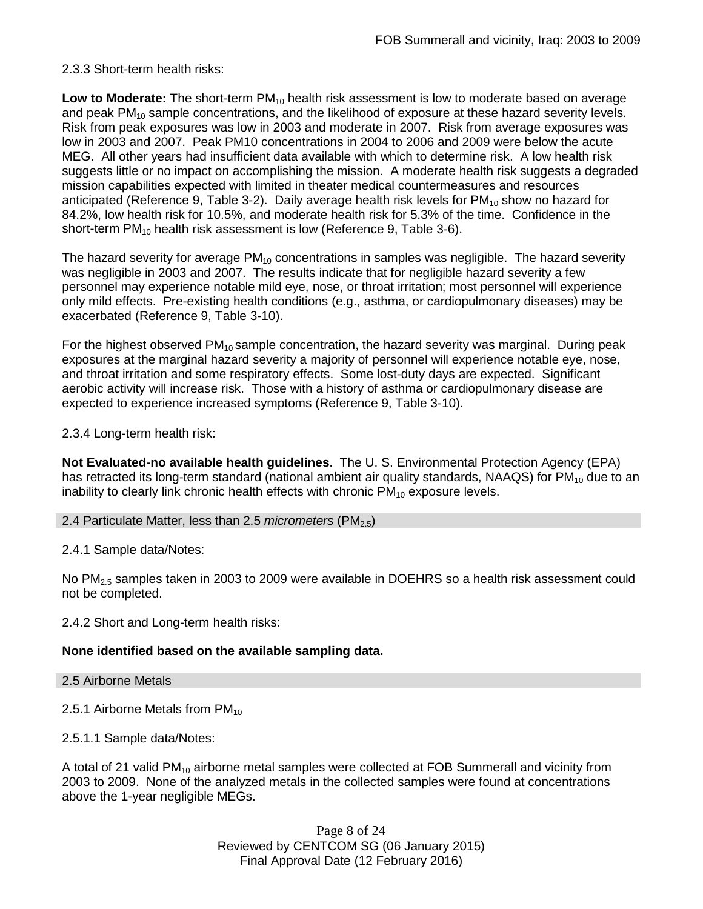### 2.3.3 Short-term health risks:

**Low to Moderate:** The short-term PM<sub>10</sub> health risk assessment is low to moderate based on average and peak  $PM_{10}$  sample concentrations, and the likelihood of exposure at these hazard severity levels. Risk from peak exposures was low in 2003 and moderate in 2007. Risk from average exposures was low in 2003 and 2007. Peak PM10 concentrations in 2004 to 2006 and 2009 were below the acute MEG. All other years had insufficient data available with which to determine risk. A low health risk suggests little or no impact on accomplishing the mission. A moderate health risk suggests a degraded mission capabilities expected with limited in theater medical countermeasures and resources anticipated (Reference 9, Table 3-2). Daily average health risk levels for  $PM_{10}$  show no hazard for 84.2%, low health risk for 10.5%, and moderate health risk for 5.3% of the time. Confidence in the short-term PM<sub>10</sub> health risk assessment is low (Reference 9, Table 3-6).

The hazard severity for average  $PM_{10}$  concentrations in samples was negligible. The hazard severity was negligible in 2003 and 2007. The results indicate that for negligible hazard severity a few personnel may experience notable mild eye, nose, or throat irritation; most personnel will experience only mild effects. Pre-existing health conditions (e.g., asthma, or cardiopulmonary diseases) may be exacerbated (Reference 9, Table 3-10).

For the highest observed  $PM_{10}$  sample concentration, the hazard severity was marginal. During peak exposures at the marginal hazard severity a majority of personnel will experience notable eye, nose, and throat irritation and some respiratory effects. Some lost-duty days are expected. Significant aerobic activity will increase risk. Those with a history of asthma or cardiopulmonary disease are expected to experience increased symptoms (Reference 9, Table 3-10).

2.3.4 Long-term health risk:

**Not Evaluated-no available health guidelines**. The U. S. Environmental Protection Agency (EPA) has retracted its long-term standard (national ambient air quality standards, NAAQS) for  $PM_{10}$  due to an inability to clearly link chronic health effects with chronic  $PM_{10}$  exposure levels.

### 2.4 Particulate Matter, less than 2.5 *micrometers* (PM<sub>2.5</sub>)

2.4.1 Sample data/Notes:

No PM<sub>2.5</sub> samples taken in 2003 to 2009 were available in DOEHRS so a health risk assessment could not be completed.

2.4.2 Short and Long-term health risks:

### **None identified based on the available sampling data.**

2.5 Airborne Metals

2.5.1 Airborne Metals from  $PM_{10}$ 

2.5.1.1 Sample data/Notes:

A total of 21 valid  $PM_{10}$  airborne metal samples were collected at FOB Summerall and vicinity from 2003 to 2009. None of the analyzed metals in the collected samples were found at concentrations above the 1-year negligible MEGs.

> Page 8 of 24 Reviewed by CENTCOM SG (06 January 2015) Final Approval Date (12 February 2016)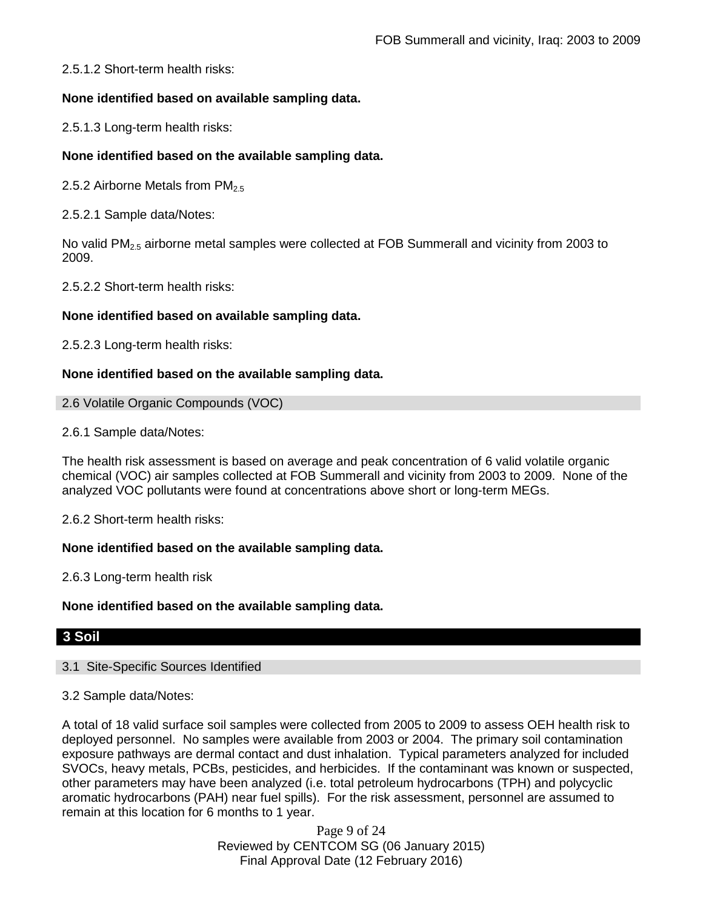2.5.1.2 Short-term health risks:

### **None identified based on available sampling data.**

2.5.1.3 Long-term health risks:

### **None identified based on the available sampling data.**

2.5.2 Airborne Metals from  $PM_{2.5}$ 

2.5.2.1 Sample data/Notes:

No valid  $PM<sub>2.5</sub>$  airborne metal samples were collected at FOB Summerall and vicinity from 2003 to 2009.

2.5.2.2 Short-term health risks:

### **None identified based on available sampling data.**

2.5.2.3 Long-term health risks:

### **None identified based on the available sampling data.**

2.6 Volatile Organic Compounds (VOC)

2.6.1 Sample data/Notes:

The health risk assessment is based on average and peak concentration of 6 valid volatile organic chemical (VOC) air samples collected at FOB Summerall and vicinity from 2003 to 2009. None of the analyzed VOC pollutants were found at concentrations above short or long-term MEGs.

2.6.2 Short-term health risks:

### **None identified based on the available sampling data.**

2.6.3 Long-term health risk

### **None identified based on the available sampling data.**

### **3 Soil**

### 3.1 Site-Specific Sources Identified

### 3.2 Sample data/Notes:

A total of 18 valid surface soil samples were collected from 2005 to 2009 to assess OEH health risk to deployed personnel. No samples were available from 2003 or 2004. The primary soil contamination exposure pathways are dermal contact and dust inhalation. Typical parameters analyzed for included SVOCs, heavy metals, PCBs, pesticides, and herbicides. If the contaminant was known or suspected, other parameters may have been analyzed (i.e. total petroleum hydrocarbons (TPH) and polycyclic aromatic hydrocarbons (PAH) near fuel spills). For the risk assessment, personnel are assumed to remain at this location for 6 months to 1 year.

> Page 9 of 24 Reviewed by CENTCOM SG (06 January 2015) Final Approval Date (12 February 2016)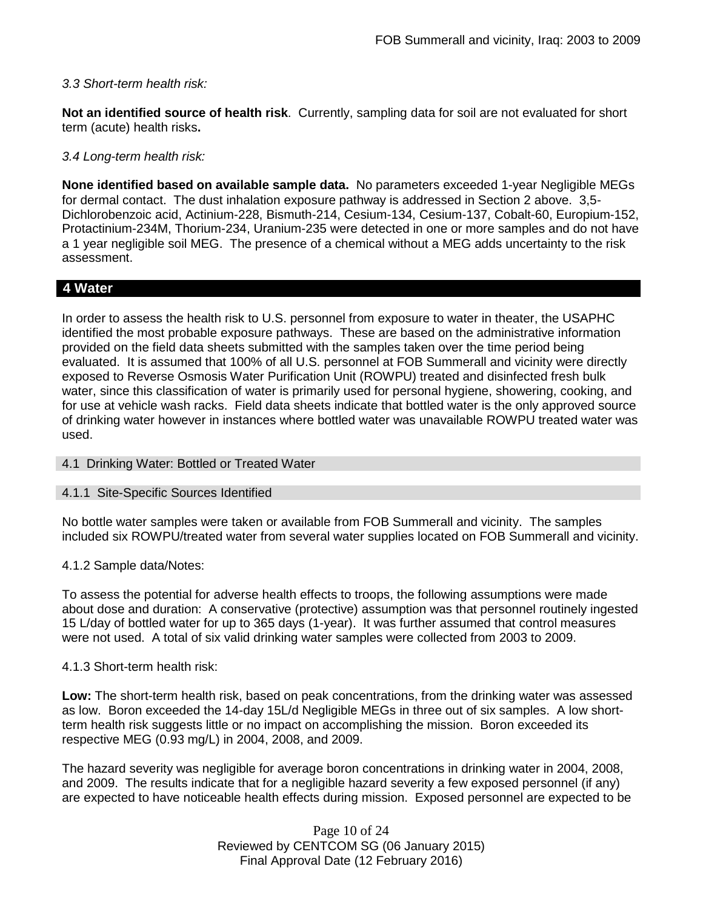### *3.3 Short-term health risk:*

**Not an identified source of health risk**. Currently, sampling data for soil are not evaluated for short term (acute) health risks**.**

### *3.4 Long-term health risk:*

**None identified based on available sample data.** No parameters exceeded 1-year Negligible MEGs for dermal contact. The dust inhalation exposure pathway is addressed in Section 2 above. 3,5- Dichlorobenzoic acid, Actinium-228, Bismuth-214, Cesium-134, Cesium-137, Cobalt-60, Europium-152, Protactinium-234M, Thorium-234, Uranium-235 were detected in one or more samples and do not have a 1 year negligible soil MEG. The presence of a chemical without a MEG adds uncertainty to the risk assessment.

### **4 Water**

In order to assess the health risk to U.S. personnel from exposure to water in theater, the USAPHC identified the most probable exposure pathways. These are based on the administrative information provided on the field data sheets submitted with the samples taken over the time period being evaluated. It is assumed that 100% of all U.S. personnel at FOB Summerall and vicinity were directly exposed to Reverse Osmosis Water Purification Unit (ROWPU) treated and disinfected fresh bulk water, since this classification of water is primarily used for personal hygiene, showering, cooking, and for use at vehicle wash racks. Field data sheets indicate that bottled water is the only approved source of drinking water however in instances where bottled water was unavailable ROWPU treated water was used.

### 4.1 Drinking Water: Bottled or Treated Water

### 4.1.1 Site-Specific Sources Identified

No bottle water samples were taken or available from FOB Summerall and vicinity. The samples included six ROWPU/treated water from several water supplies located on FOB Summerall and vicinity.

### 4.1.2 Sample data/Notes:

To assess the potential for adverse health effects to troops, the following assumptions were made about dose and duration: A conservative (protective) assumption was that personnel routinely ingested 15 L/day of bottled water for up to 365 days (1-year). It was further assumed that control measures were not used. A total of six valid drinking water samples were collected from 2003 to 2009.

### 4.1.3 Short-term health risk:

**Low:** The short-term health risk, based on peak concentrations, from the drinking water was assessed as low. Boron exceeded the 14-day 15L/d Negligible MEGs in three out of six samples. A low shortterm health risk suggests little or no impact on accomplishing the mission. Boron exceeded its respective MEG (0.93 mg/L) in 2004, 2008, and 2009.

The hazard severity was negligible for average boron concentrations in drinking water in 2004, 2008, and 2009. The results indicate that for a negligible hazard severity a few exposed personnel (if any) are expected to have noticeable health effects during mission. Exposed personnel are expected to be

> Page 10 of 24 Reviewed by CENTCOM SG (06 January 2015) Final Approval Date (12 February 2016)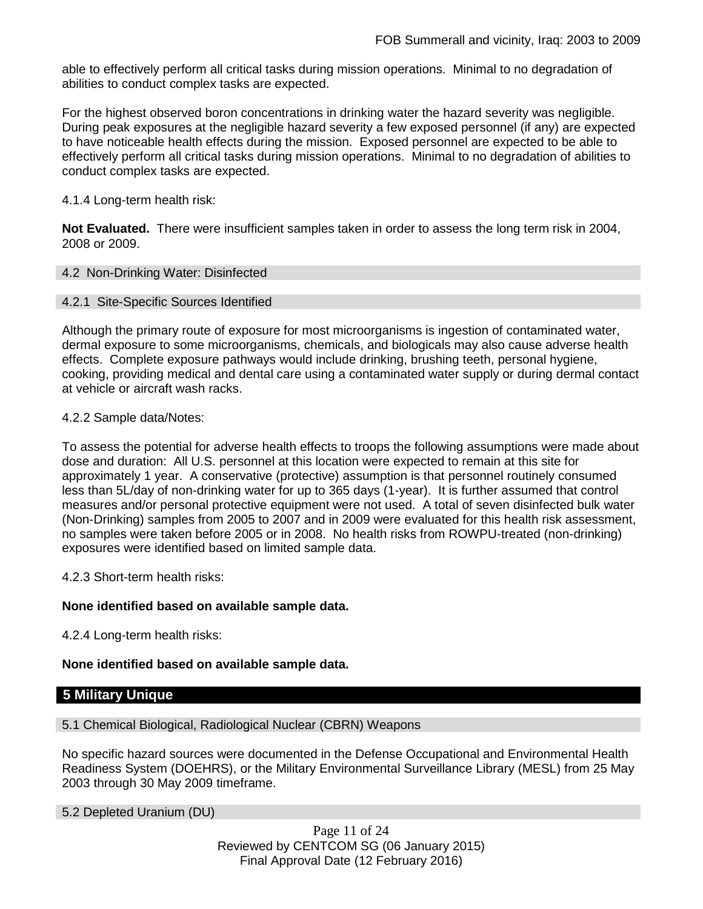able to effectively perform all critical tasks during mission operations. Minimal to no degradation of abilities to conduct complex tasks are expected.

For the highest observed boron concentrations in drinking water the hazard severity was negligible. During peak exposures at the negligible hazard severity a few exposed personnel (if any) are expected to have noticeable health effects during the mission. Exposed personnel are expected to be able to effectively perform all critical tasks during mission operations. Minimal to no degradation of abilities to conduct complex tasks are expected.

4.1.4 Long-term health risk:

**Not Evaluated.** There were insufficient samples taken in order to assess the long term risk in 2004, 2008 or 2009.

### 4.2 Non-Drinking Water: Disinfected

### 4.2.1 Site-Specific Sources Identified

Although the primary route of exposure for most microorganisms is ingestion of contaminated water, dermal exposure to some microorganisms, chemicals, and biologicals may also cause adverse health effects. Complete exposure pathways would include drinking, brushing teeth, personal hygiene, cooking, providing medical and dental care using a contaminated water supply or during dermal contact at vehicle or aircraft wash racks.

### 4.2.2 Sample data/Notes:

To assess the potential for adverse health effects to troops the following assumptions were made about dose and duration: All U.S. personnel at this location were expected to remain at this site for approximately 1 year. A conservative (protective) assumption is that personnel routinely consumed less than 5L/day of non-drinking water for up to 365 days (1-year). It is further assumed that control measures and/or personal protective equipment were not used. A total of seven disinfected bulk water (Non-Drinking) samples from 2005 to 2007 and in 2009 were evaluated for this health risk assessment, no samples were taken before 2005 or in 2008. No health risks from ROWPU-treated (non-drinking) exposures were identified based on limited sample data.

4.2.3 Short-term health risks:

### **None identified based on available sample data.**

4.2.4 Long-term health risks:

### **None identified based on available sample data.**

### **5 Military Unique**

### 5.1 Chemical Biological, Radiological Nuclear (CBRN) Weapons

No specific hazard sources were documented in the Defense Occupational and Environmental Health Readiness System (DOEHRS), or the Military Environmental Surveillance Library (MESL) from 25 May 2003 through 30 May 2009 timeframe.

5.2 Depleted Uranium (DU)

Page 11 of 24 Reviewed by CENTCOM SG (06 January 2015) Final Approval Date (12 February 2016)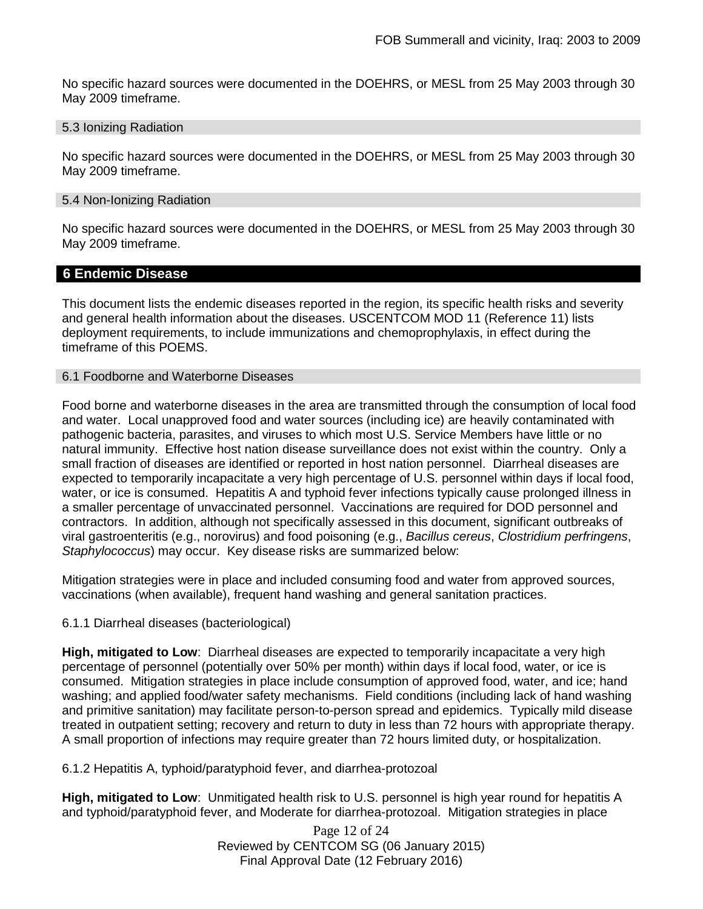No specific hazard sources were documented in the DOEHRS, or MESL from 25 May 2003 through 30 May 2009 timeframe.

#### 5.3 Ionizing Radiation

No specific hazard sources were documented in the DOEHRS, or MESL from 25 May 2003 through 30 May 2009 timeframe.

#### 5.4 Non-Ionizing Radiation

No specific hazard sources were documented in the DOEHRS, or MESL from 25 May 2003 through 30 May 2009 timeframe.

### **6 Endemic Disease**

This document lists the endemic diseases reported in the region, its specific health risks and severity and general health information about the diseases. USCENTCOM MOD 11 (Reference 11) lists deployment requirements, to include immunizations and chemoprophylaxis, in effect during the timeframe of this POEMS.

#### 6.1 Foodborne and Waterborne Diseases

Food borne and waterborne diseases in the area are transmitted through the consumption of local food and water. Local unapproved food and water sources (including ice) are heavily contaminated with pathogenic bacteria, parasites, and viruses to which most U.S. Service Members have little or no natural immunity. Effective host nation disease surveillance does not exist within the country. Only a small fraction of diseases are identified or reported in host nation personnel. Diarrheal diseases are expected to temporarily incapacitate a very high percentage of U.S. personnel within days if local food, water, or ice is consumed. Hepatitis A and typhoid fever infections typically cause prolonged illness in a smaller percentage of unvaccinated personnel. Vaccinations are required for DOD personnel and contractors. In addition, although not specifically assessed in this document, significant outbreaks of viral gastroenteritis (e.g., norovirus) and food poisoning (e.g., *Bacillus cereus*, *Clostridium perfringens*, *Staphylococcus*) may occur. Key disease risks are summarized below:

Mitigation strategies were in place and included consuming food and water from approved sources, vaccinations (when available), frequent hand washing and general sanitation practices.

6.1.1 Diarrheal diseases (bacteriological)

**High, mitigated to Low**: Diarrheal diseases are expected to temporarily incapacitate a very high percentage of personnel (potentially over 50% per month) within days if local food, water, or ice is consumed. Mitigation strategies in place include consumption of approved food, water, and ice; hand washing; and applied food/water safety mechanisms. Field conditions (including lack of hand washing and primitive sanitation) may facilitate person-to-person spread and epidemics. Typically mild disease treated in outpatient setting; recovery and return to duty in less than 72 hours with appropriate therapy. A small proportion of infections may require greater than 72 hours limited duty, or hospitalization.

6.1.2 Hepatitis A, typhoid/paratyphoid fever, and diarrhea-protozoal

**High, mitigated to Low**: Unmitigated health risk to U.S. personnel is high year round for hepatitis A and typhoid/paratyphoid fever, and Moderate for diarrhea-protozoal. Mitigation strategies in place

> Page 12 of 24 Reviewed by CENTCOM SG (06 January 2015) Final Approval Date (12 February 2016)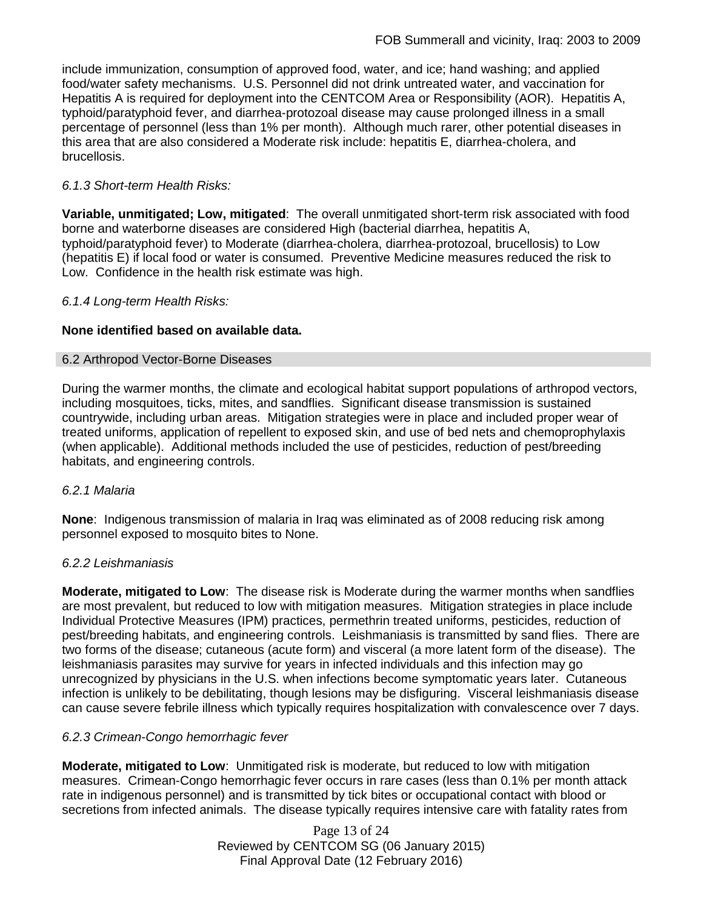include immunization, consumption of approved food, water, and ice; hand washing; and applied food/water safety mechanisms. U.S. Personnel did not drink untreated water, and vaccination for Hepatitis A is required for deployment into the CENTCOM Area or Responsibility (AOR). Hepatitis A, typhoid/paratyphoid fever, and diarrhea-protozoal disease may cause prolonged illness in a small percentage of personnel (less than 1% per month). Although much rarer, other potential diseases in this area that are also considered a Moderate risk include: hepatitis E, diarrhea-cholera, and brucellosis.

### *6.1.3 Short-term Health Risks:*

**Variable, unmitigated; Low, mitigated**: The overall unmitigated short-term risk associated with food borne and waterborne diseases are considered High (bacterial diarrhea, hepatitis A, typhoid/paratyphoid fever) to Moderate (diarrhea-cholera, diarrhea-protozoal, brucellosis) to Low (hepatitis E) if local food or water is consumed. Preventive Medicine measures reduced the risk to Low. Confidence in the health risk estimate was high.

### *6.1.4 Long-term Health Risks:*

### **None identified based on available data.**

### 6.2 Arthropod Vector-Borne Diseases

During the warmer months, the climate and ecological habitat support populations of arthropod vectors, including mosquitoes, ticks, mites, and sandflies. Significant disease transmission is sustained countrywide, including urban areas. Mitigation strategies were in place and included proper wear of treated uniforms, application of repellent to exposed skin, and use of bed nets and chemoprophylaxis (when applicable). Additional methods included the use of pesticides, reduction of pest/breeding habitats, and engineering controls.

### *6.2.1 Malaria*

**None**: Indigenous transmission of malaria in Iraq was eliminated as of 2008 reducing risk among personnel exposed to mosquito bites to None.

### *6.2.2 Leishmaniasis*

**Moderate, mitigated to Low**: The disease risk is Moderate during the warmer months when sandflies are most prevalent, but reduced to low with mitigation measures. Mitigation strategies in place include Individual Protective Measures (IPM) practices, permethrin treated uniforms, pesticides, reduction of pest/breeding habitats, and engineering controls. Leishmaniasis is transmitted by sand flies. There are two forms of the disease; cutaneous (acute form) and visceral (a more latent form of the disease). The leishmaniasis parasites may survive for years in infected individuals and this infection may go unrecognized by physicians in the U.S. when infections become symptomatic years later. Cutaneous infection is unlikely to be debilitating, though lesions may be disfiguring. Visceral leishmaniasis disease can cause severe febrile illness which typically requires hospitalization with convalescence over 7 days.

### *6.2.3 Crimean-Congo hemorrhagic fever*

**Moderate, mitigated to Low**: Unmitigated risk is moderate, but reduced to low with mitigation measures. Crimean-Congo hemorrhagic fever occurs in rare cases (less than 0.1% per month attack rate in indigenous personnel) and is transmitted by tick bites or occupational contact with blood or secretions from infected animals. The disease typically requires intensive care with fatality rates from

> Page 13 of 24 Reviewed by CENTCOM SG (06 January 2015) Final Approval Date (12 February 2016)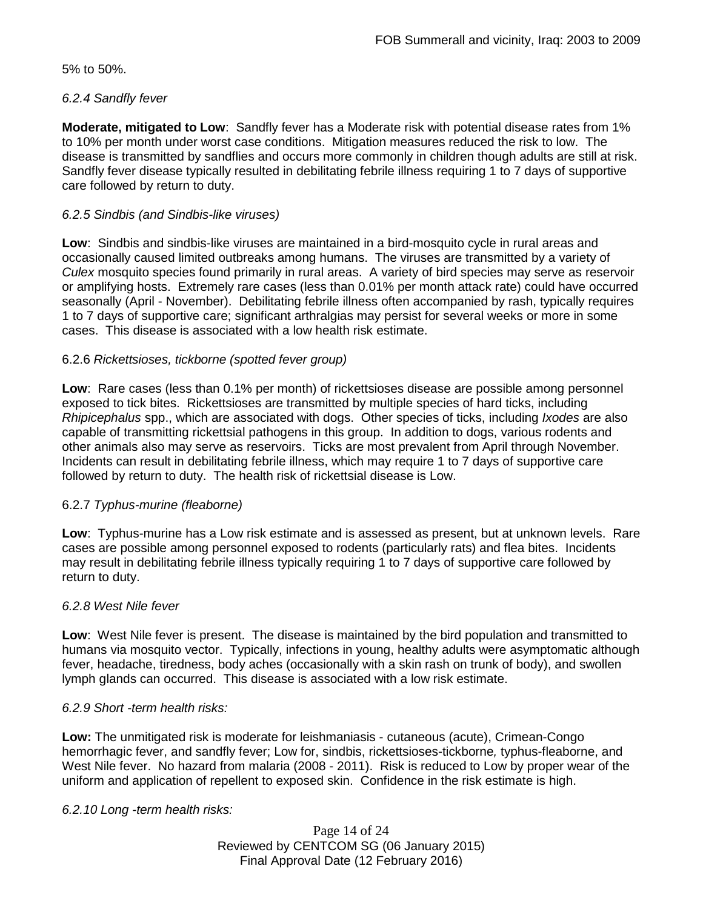5% to 50%.

### *6.2.4 Sandfly fever*

**Moderate, mitigated to Low**: Sandfly fever has a Moderate risk with potential disease rates from 1% to 10% per month under worst case conditions. Mitigation measures reduced the risk to low. The disease is transmitted by sandflies and occurs more commonly in children though adults are still at risk. Sandfly fever disease typically resulted in debilitating febrile illness requiring 1 to 7 days of supportive care followed by return to duty.

### *6.2.5 Sindbis (and Sindbis-like viruses)*

**Low**: Sindbis and sindbis-like viruses are maintained in a bird-mosquito cycle in rural areas and occasionally caused limited outbreaks among humans. The viruses are transmitted by a variety of *Culex* mosquito species found primarily in rural areas. A variety of bird species may serve as reservoir or amplifying hosts. Extremely rare cases (less than 0.01% per month attack rate) could have occurred seasonally (April - November). Debilitating febrile illness often accompanied by rash, typically requires 1 to 7 days of supportive care; significant arthralgias may persist for several weeks or more in some cases. This disease is associated with a low health risk estimate.

### 6.2.6 *Rickettsioses, tickborne (spotted fever group)*

**Low**: Rare cases (less than 0.1% per month) of rickettsioses disease are possible among personnel exposed to tick bites. Rickettsioses are transmitted by multiple species of hard ticks, including *Rhipicephalus* spp., which are associated with dogs. Other species of ticks, including *Ixodes* are also capable of transmitting rickettsial pathogens in this group. In addition to dogs, various rodents and other animals also may serve as reservoirs. Ticks are most prevalent from April through November. Incidents can result in debilitating febrile illness, which may require 1 to 7 days of supportive care followed by return to duty. The health risk of rickettsial disease is Low.

### 6.2.7 *Typhus-murine (fleaborne)*

**Low**: Typhus-murine has a Low risk estimate and is assessed as present, but at unknown levels. Rare cases are possible among personnel exposed to rodents (particularly rats) and flea bites. Incidents may result in debilitating febrile illness typically requiring 1 to 7 days of supportive care followed by return to duty.

### *6.2.8 West Nile fever*

**Low**: West Nile fever is present. The disease is maintained by the bird population and transmitted to humans via mosquito vector. Typically, infections in young, healthy adults were asymptomatic although fever, headache, tiredness, body aches (occasionally with a skin rash on trunk of body), and swollen lymph glands can occurred. This disease is associated with a low risk estimate.

### *6.2.9 Short -term health risks:*

**Low:** The unmitigated risk is moderate for leishmaniasis - cutaneous (acute), Crimean-Congo hemorrhagic fever, and sandfly fever; Low for, sindbis, rickettsioses-tickborne*,* typhus-fleaborne, and West Nile fever. No hazard from malaria (2008 - 2011). Risk is reduced to Low by proper wear of the uniform and application of repellent to exposed skin. Confidence in the risk estimate is high.

### *6.2.10 Long -term health risks:*

Page 14 of 24 Reviewed by CENTCOM SG (06 January 2015) Final Approval Date (12 February 2016)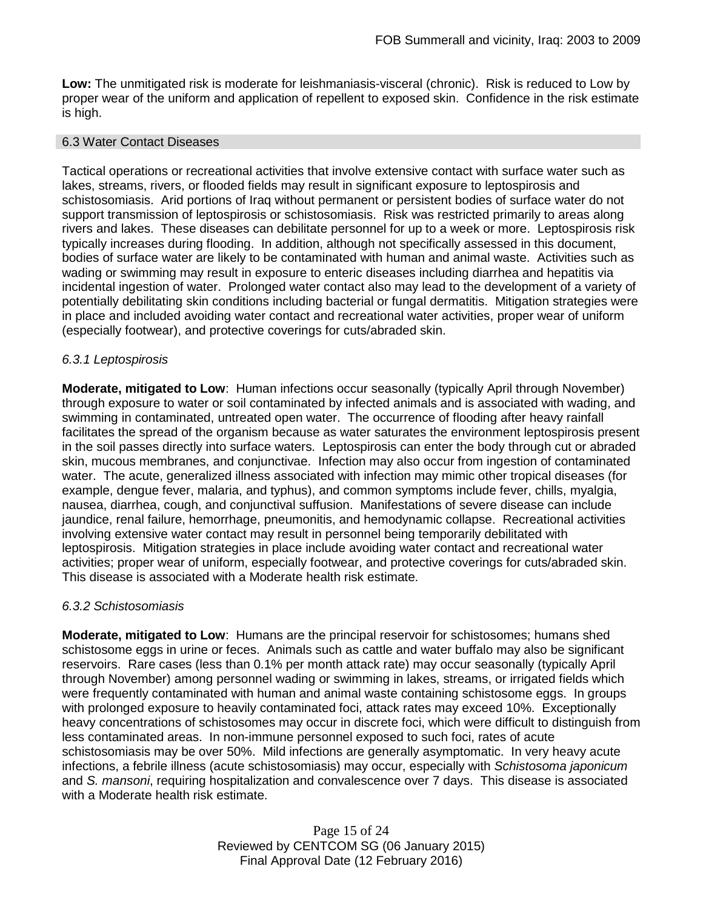**Low:** The unmitigated risk is moderate for leishmaniasis-visceral (chronic). Risk is reduced to Low by proper wear of the uniform and application of repellent to exposed skin. Confidence in the risk estimate is high.

#### 6.3 Water Contact Diseases

Tactical operations or recreational activities that involve extensive contact with surface water such as lakes, streams, rivers, or flooded fields may result in significant exposure to leptospirosis and schistosomiasis. Arid portions of Iraq without permanent or persistent bodies of surface water do not support transmission of leptospirosis or schistosomiasis. Risk was restricted primarily to areas along rivers and lakes. These diseases can debilitate personnel for up to a week or more. Leptospirosis risk typically increases during flooding. In addition, although not specifically assessed in this document, bodies of surface water are likely to be contaminated with human and animal waste. Activities such as wading or swimming may result in exposure to enteric diseases including diarrhea and hepatitis via incidental ingestion of water. Prolonged water contact also may lead to the development of a variety of potentially debilitating skin conditions including bacterial or fungal dermatitis. Mitigation strategies were in place and included avoiding water contact and recreational water activities, proper wear of uniform (especially footwear), and protective coverings for cuts/abraded skin.

### *6.3.1 Leptospirosis*

**Moderate, mitigated to Low**: Human infections occur seasonally (typically April through November) through exposure to water or soil contaminated by infected animals and is associated with wading, and swimming in contaminated, untreated open water. The occurrence of flooding after heavy rainfall facilitates the spread of the organism because as water saturates the environment leptospirosis present in the soil passes directly into surface waters. Leptospirosis can enter the body through cut or abraded skin, mucous membranes, and conjunctivae. Infection may also occur from ingestion of contaminated water. The acute, generalized illness associated with infection may mimic other tropical diseases (for example, dengue fever, malaria, and typhus), and common symptoms include fever, chills, myalgia, nausea, diarrhea, cough, and conjunctival suffusion. Manifestations of severe disease can include jaundice, renal failure, hemorrhage, pneumonitis, and hemodynamic collapse. Recreational activities involving extensive water contact may result in personnel being temporarily debilitated with leptospirosis. Mitigation strategies in place include avoiding water contact and recreational water activities; proper wear of uniform, especially footwear, and protective coverings for cuts/abraded skin. This disease is associated with a Moderate health risk estimate.

### *6.3.2 Schistosomiasis*

**Moderate, mitigated to Low**: Humans are the principal reservoir for schistosomes; humans shed schistosome eggs in urine or feces. Animals such as cattle and water buffalo may also be significant reservoirs. Rare cases (less than 0.1% per month attack rate) may occur seasonally (typically April through November) among personnel wading or swimming in lakes, streams, or irrigated fields which were frequently contaminated with human and animal waste containing schistosome eggs. In groups with prolonged exposure to heavily contaminated foci, attack rates may exceed 10%. Exceptionally heavy concentrations of schistosomes may occur in discrete foci, which were difficult to distinguish from less contaminated areas. In non-immune personnel exposed to such foci, rates of acute schistosomiasis may be over 50%. Mild infections are generally asymptomatic. In very heavy acute infections, a febrile illness (acute schistosomiasis) may occur, especially with *Schistosoma japonicum*  and *S. mansoni*, requiring hospitalization and convalescence over 7 days. This disease is associated with a Moderate health risk estimate.

> Page 15 of 24 Reviewed by CENTCOM SG (06 January 2015) Final Approval Date (12 February 2016)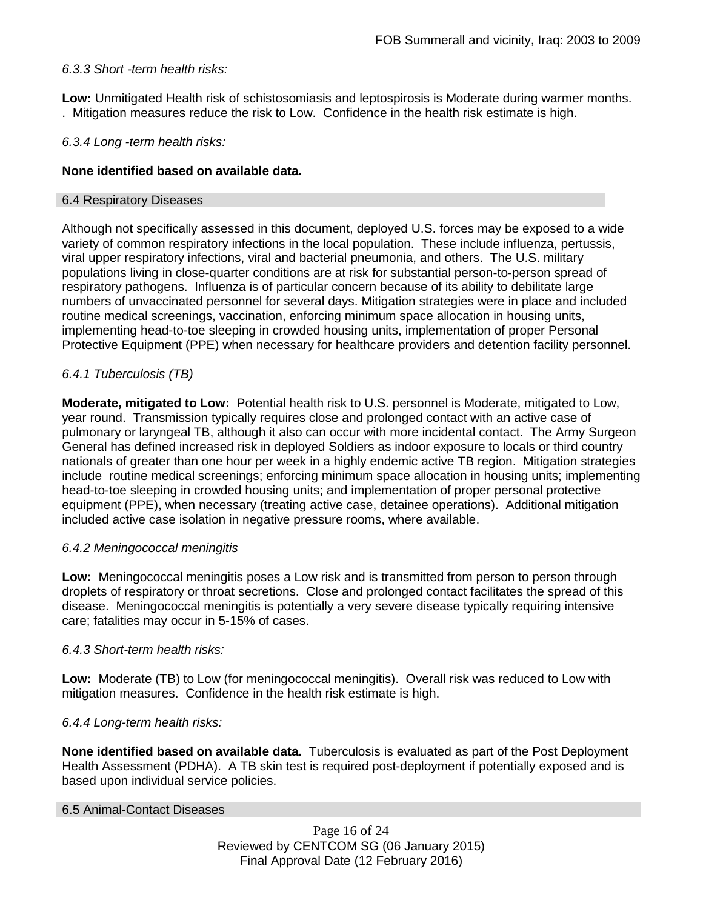### *6.3.3 Short -term health risks:*

**Low:** Unmitigated Health risk of schistosomiasis and leptospirosis is Moderate during warmer months. . Mitigation measures reduce the risk to Low. Confidence in the health risk estimate is high.

### *6.3.4 Long -term health risks:*

### **None identified based on available data.**

#### 6.4 Respiratory Diseases

Although not specifically assessed in this document, deployed U.S. forces may be exposed to a wide variety of common respiratory infections in the local population. These include influenza, pertussis, viral upper respiratory infections, viral and bacterial pneumonia, and others. The U.S. military populations living in close-quarter conditions are at risk for substantial person-to-person spread of respiratory pathogens. Influenza is of particular concern because of its ability to debilitate large numbers of unvaccinated personnel for several days. Mitigation strategies were in place and included routine medical screenings, vaccination, enforcing minimum space allocation in housing units, implementing head-to-toe sleeping in crowded housing units, implementation of proper Personal Protective Equipment (PPE) when necessary for healthcare providers and detention facility personnel.

### *6.4.1 Tuberculosis (TB)*

**Moderate, mitigated to Low:** Potential health risk to U.S. personnel is Moderate, mitigated to Low, year round. Transmission typically requires close and prolonged contact with an active case of pulmonary or laryngeal TB, although it also can occur with more incidental contact. The Army Surgeon General has defined increased risk in deployed Soldiers as indoor exposure to locals or third country nationals of greater than one hour per week in a highly endemic active TB region. Mitigation strategies include routine medical screenings; enforcing minimum space allocation in housing units; implementing head-to-toe sleeping in crowded housing units; and implementation of proper personal protective equipment (PPE), when necessary (treating active case, detainee operations). Additional mitigation included active case isolation in negative pressure rooms, where available.

### *6.4.2 Meningococcal meningitis*

**Low:** Meningococcal meningitis poses a Low risk and is transmitted from person to person through droplets of respiratory or throat secretions. Close and prolonged contact facilitates the spread of this disease. Meningococcal meningitis is potentially a very severe disease typically requiring intensive care; fatalities may occur in 5-15% of cases.

### *6.4.3 Short-term health risks:*

**Low:** Moderate (TB) to Low (for meningococcal meningitis). Overall risk was reduced to Low with mitigation measures. Confidence in the health risk estimate is high.

### *6.4.4 Long-term health risks:*

**None identified based on available data.** Tuberculosis is evaluated as part of the Post Deployment Health Assessment (PDHA). A TB skin test is required post-deployment if potentially exposed and is based upon individual service policies.

#### 6.5 Animal-Contact Diseases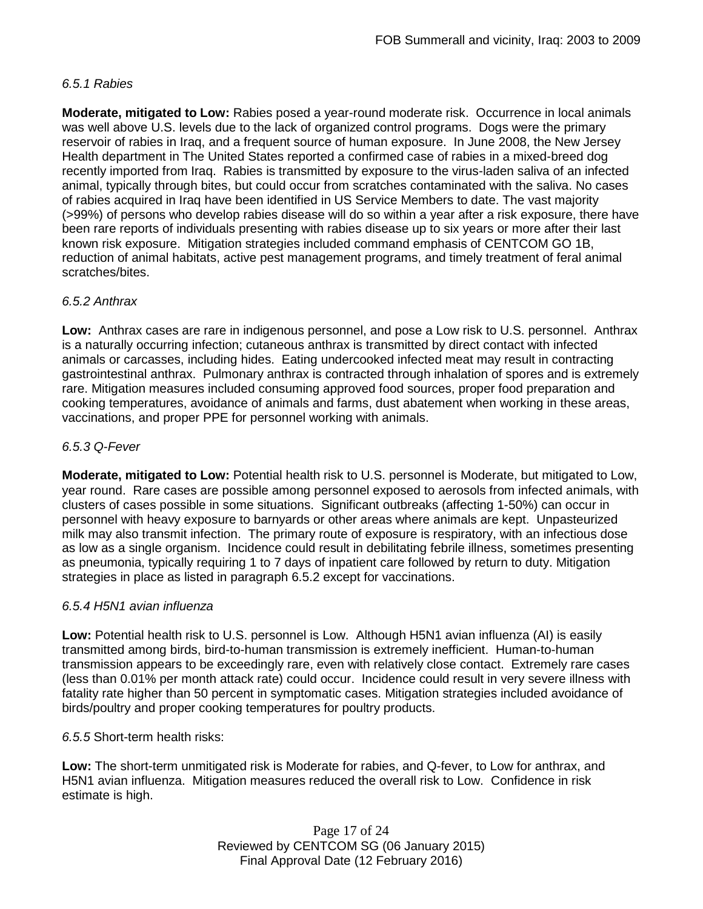### *6.5.1 Rabies*

**Moderate, mitigated to Low:** Rabies posed a year-round moderate risk. Occurrence in local animals was well above U.S. levels due to the lack of organized control programs. Dogs were the primary reservoir of rabies in Iraq, and a frequent source of human exposure. In June 2008, the New Jersey Health department in The United States reported a confirmed case of rabies in a mixed-breed dog recently imported from Iraq. Rabies is transmitted by exposure to the virus-laden saliva of an infected animal, typically through bites, but could occur from scratches contaminated with the saliva. No cases of rabies acquired in Iraq have been identified in US Service Members to date. The vast majority (>99%) of persons who develop rabies disease will do so within a year after a risk exposure, there have been rare reports of individuals presenting with rabies disease up to six years or more after their last known risk exposure. Mitigation strategies included command emphasis of CENTCOM GO 1B, reduction of animal habitats, active pest management programs, and timely treatment of feral animal scratches/bites.

### *6.5.2 Anthrax*

**Low:** Anthrax cases are rare in indigenous personnel, and pose a Low risk to U.S. personnel. Anthrax is a naturally occurring infection; cutaneous anthrax is transmitted by direct contact with infected animals or carcasses, including hides. Eating undercooked infected meat may result in contracting gastrointestinal anthrax. Pulmonary anthrax is contracted through inhalation of spores and is extremely rare. Mitigation measures included consuming approved food sources, proper food preparation and cooking temperatures, avoidance of animals and farms, dust abatement when working in these areas, vaccinations, and proper PPE for personnel working with animals.

### *6.5.3 Q-Fever*

**Moderate, mitigated to Low:** Potential health risk to U.S. personnel is Moderate, but mitigated to Low, year round. Rare cases are possible among personnel exposed to aerosols from infected animals, with clusters of cases possible in some situations. Significant outbreaks (affecting 1-50%) can occur in personnel with heavy exposure to barnyards or other areas where animals are kept. Unpasteurized milk may also transmit infection. The primary route of exposure is respiratory, with an infectious dose as low as a single organism. Incidence could result in debilitating febrile illness, sometimes presenting as pneumonia, typically requiring 1 to 7 days of inpatient care followed by return to duty. Mitigation strategies in place as listed in paragraph 6.5.2 except for vaccinations.

### *6.5.4 H5N1 avian influenza*

**Low:** Potential health risk to U.S. personnel is Low. Although H5N1 avian influenza (AI) is easily transmitted among birds, bird-to-human transmission is extremely inefficient. Human-to-human transmission appears to be exceedingly rare, even with relatively close contact. Extremely rare cases (less than 0.01% per month attack rate) could occur. Incidence could result in very severe illness with fatality rate higher than 50 percent in symptomatic cases. Mitigation strategies included avoidance of birds/poultry and proper cooking temperatures for poultry products.

*6.5.5* Short-term health risks:

**Low:** The short-term unmitigated risk is Moderate for rabies, and Q-fever, to Low for anthrax, and H5N1 avian influenza. Mitigation measures reduced the overall risk to Low.Confidence in risk estimate is high.

> Page 17 of 24 Reviewed by CENTCOM SG (06 January 2015) Final Approval Date (12 February 2016)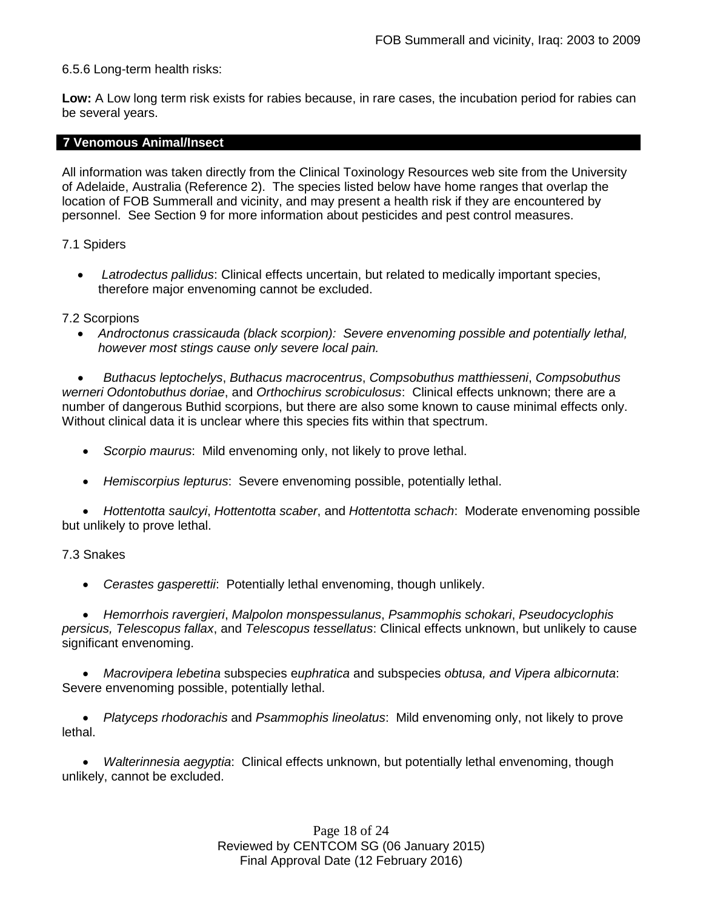### 6.5.6 Long-term health risks:

**Low:** A Low long term risk exists for rabies because, in rare cases, the incubation period for rabies can be several years.

#### **7 Venomous Animal/Insect**

All information was taken directly from the Clinical Toxinology Resources web site from the University of Adelaide, Australia (Reference 2). The species listed below have home ranges that overlap the location of FOB Summerall and vicinity, and may present a health risk if they are encountered by personnel. See Section 9 for more information about pesticides and pest control measures.

### 7.1 Spiders

• *Latrodectus pallidus*: Clinical effects uncertain, but related to medically important species, therefore major envenoming cannot be excluded.

#### 7.2 Scorpions

• *Androctonus crassicauda (black scorpion): Severe envenoming possible and potentially lethal, however most stings cause only severe local pain.* 

• *Buthacus leptochelys*, *Buthacus macrocentrus*, *Compsobuthus matthiesseni*, *Compsobuthus werneri Odontobuthus doriae*, and *Orthochirus scrobiculosus*: Clinical effects unknown; there are a number of dangerous Buthid scorpions, but there are also some known to cause minimal effects only. Without clinical data it is unclear where this species fits within that spectrum.

- *Scorpio maurus*: Mild envenoming only, not likely to prove lethal.
- *Hemiscorpius lepturus*: Severe envenoming possible, potentially lethal.

• *Hottentotta saulcyi*, *Hottentotta scaber*, and *Hottentotta schach*: Moderate envenoming possible but unlikely to prove lethal.

### 7.3 Snakes

• *Cerastes gasperettii*: Potentially lethal envenoming, though unlikely.

• *Hemorrhois ravergieri*, *Malpolon monspessulanus*, *Psammophis schokari*, *Pseudocyclophis persicus, Telescopus fallax*, and *Telescopus tessellatus*: Clinical effects unknown, but unlikely to cause significant envenoming.

• *Macrovipera lebetina* subspecies e*uphratica* and subspecies *obtusa, and Vipera albicornuta*: Severe envenoming possible, potentially lethal.

• *Platyceps rhodorachis* and *Psammophis lineolatus*: Mild envenoming only, not likely to prove lethal.

• *Walterinnesia aegyptia*: Clinical effects unknown, but potentially lethal envenoming, though unlikely, cannot be excluded.

> Page 18 of 24 Reviewed by CENTCOM SG (06 January 2015) Final Approval Date (12 February 2016)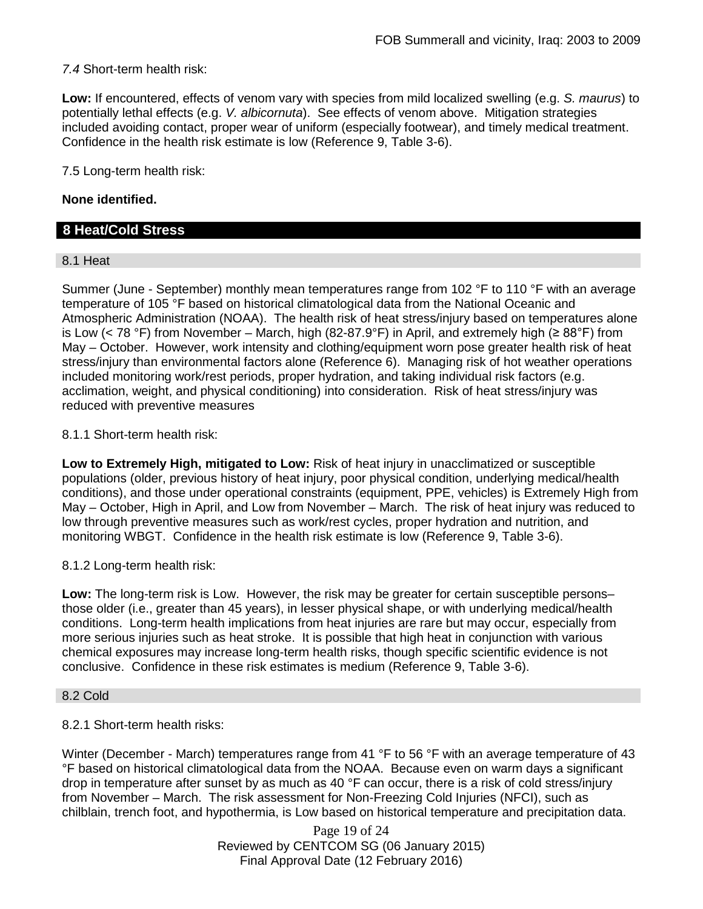*7.4* Short-term health risk:

**Low:** If encountered, effects of venom vary with species from mild localized swelling (e.g. *S. maurus*) to potentially lethal effects (e.g. *V. albicornuta*). See effects of venom above. Mitigation strategies included avoiding contact, proper wear of uniform (especially footwear), and timely medical treatment. Confidence in the health risk estimate is low (Reference 9, Table 3-6).

7.5 Long-term health risk:

### **None identified.**

### **8 Heat/Cold Stress**

### 8.1 Heat

Summer (June - September) monthly mean temperatures range from 102 °F to 110 °F with an average temperature of 105 °F based on historical climatological data from the National Oceanic and Atmospheric Administration (NOAA). The health risk of heat stress/injury based on temperatures alone is Low (< 78 °F) from November – March, high (82-87.9°F) in April, and extremely high (≥ 88°F) from May – October. However, work intensity and clothing/equipment worn pose greater health risk of heat stress/injury than environmental factors alone (Reference 6). Managing risk of hot weather operations included monitoring work/rest periods, proper hydration, and taking individual risk factors (e.g. acclimation, weight, and physical conditioning) into consideration. Risk of heat stress/injury was reduced with preventive measures

### 8.1.1 Short-term health risk:

**Low to Extremely High, mitigated to Low:** Risk of heat injury in unacclimatized or susceptible populations (older, previous history of heat injury, poor physical condition, underlying medical/health conditions), and those under operational constraints (equipment, PPE, vehicles) is Extremely High from May – October, High in April, and Low from November – March. The risk of heat injury was reduced to low through preventive measures such as work/rest cycles, proper hydration and nutrition, and monitoring WBGT. Confidence in the health risk estimate is low (Reference 9, Table 3-6).

### 8.1.2 Long-term health risk:

**Low:** The long-term risk is Low. However, the risk may be greater for certain susceptible persons– those older (i.e., greater than 45 years), in lesser physical shape, or with underlying medical/health conditions. Long-term health implications from heat injuries are rare but may occur, especially from more serious injuries such as heat stroke. It is possible that high heat in conjunction with various chemical exposures may increase long-term health risks, though specific scientific evidence is not conclusive. Confidence in these risk estimates is medium (Reference 9, Table 3-6).

### 8.2 Cold

### 8.2.1 Short-term health risks:

Winter (December - March) temperatures range from 41 °F to 56 °F with an average temperature of 43 °F based on historical climatological data from the NOAA. Because even on warm days a significant drop in temperature after sunset by as much as 40 °F can occur, there is a risk of cold stress/injury from November – March. The risk assessment for Non-Freezing Cold Injuries (NFCI), such as chilblain, trench foot, and hypothermia, is Low based on historical temperature and precipitation data.

> Page 19 of 24 Reviewed by CENTCOM SG (06 January 2015) Final Approval Date (12 February 2016)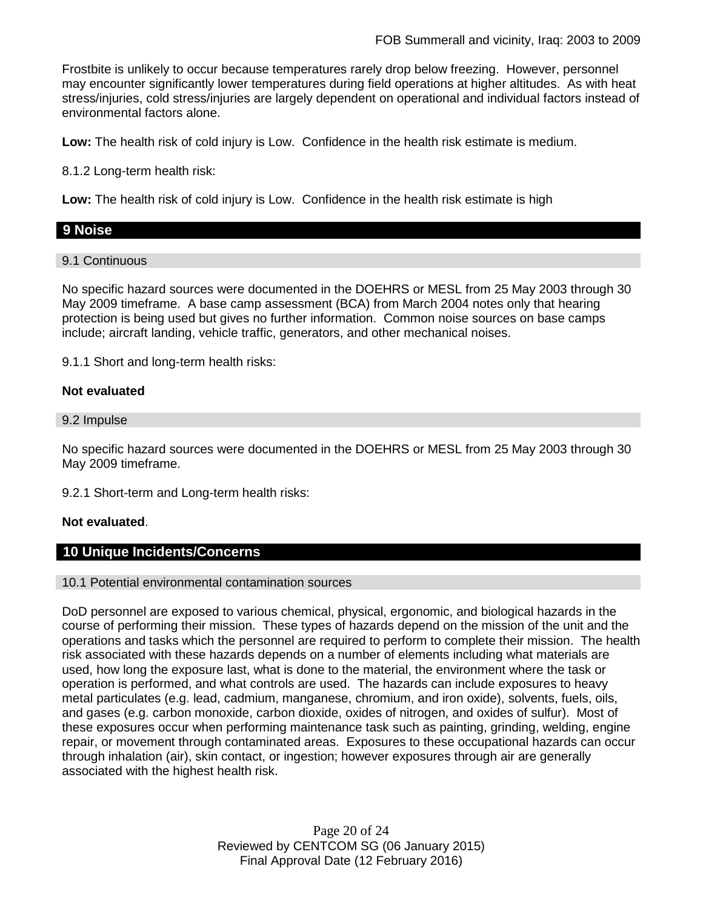Frostbite is unlikely to occur because temperatures rarely drop below freezing. However, personnel may encounter significantly lower temperatures during field operations at higher altitudes. As with heat stress/injuries, cold stress/injuries are largely dependent on operational and individual factors instead of environmental factors alone.

**Low:** The health risk of cold injury is Low. Confidence in the health risk estimate is medium.

8.1.2 Long-term health risk:

**Low:** The health risk of cold injury is Low. Confidence in the health risk estimate is high

### **9 Noise**

### 9.1 Continuous

No specific hazard sources were documented in the DOEHRS or MESL from 25 May 2003 through 30 May 2009 timeframe. A base camp assessment (BCA) from March 2004 notes only that hearing protection is being used but gives no further information. Common noise sources on base camps include; aircraft landing, vehicle traffic, generators, and other mechanical noises.

9.1.1 Short and long-term health risks:

### **Not evaluated**

### 9.2 Impulse

No specific hazard sources were documented in the DOEHRS or MESL from 25 May 2003 through 30 May 2009 timeframe.

9.2.1 Short-term and Long-term health risks:

### **Not evaluated**.

### **10 Unique Incidents/Concerns**

### 10.1 Potential environmental contamination sources

DoD personnel are exposed to various chemical, physical, ergonomic, and biological hazards in the course of performing their mission. These types of hazards depend on the mission of the unit and the operations and tasks which the personnel are required to perform to complete their mission. The health risk associated with these hazards depends on a number of elements including what materials are used, how long the exposure last, what is done to the material, the environment where the task or operation is performed, and what controls are used. The hazards can include exposures to heavy metal particulates (e.g. lead, cadmium, manganese, chromium, and iron oxide), solvents, fuels, oils, and gases (e.g. carbon monoxide, carbon dioxide, oxides of nitrogen, and oxides of sulfur). Most of these exposures occur when performing maintenance task such as painting, grinding, welding, engine repair, or movement through contaminated areas. Exposures to these occupational hazards can occur through inhalation (air), skin contact, or ingestion; however exposures through air are generally associated with the highest health risk.

> Page 20 of 24 Reviewed by CENTCOM SG (06 January 2015) Final Approval Date (12 February 2016)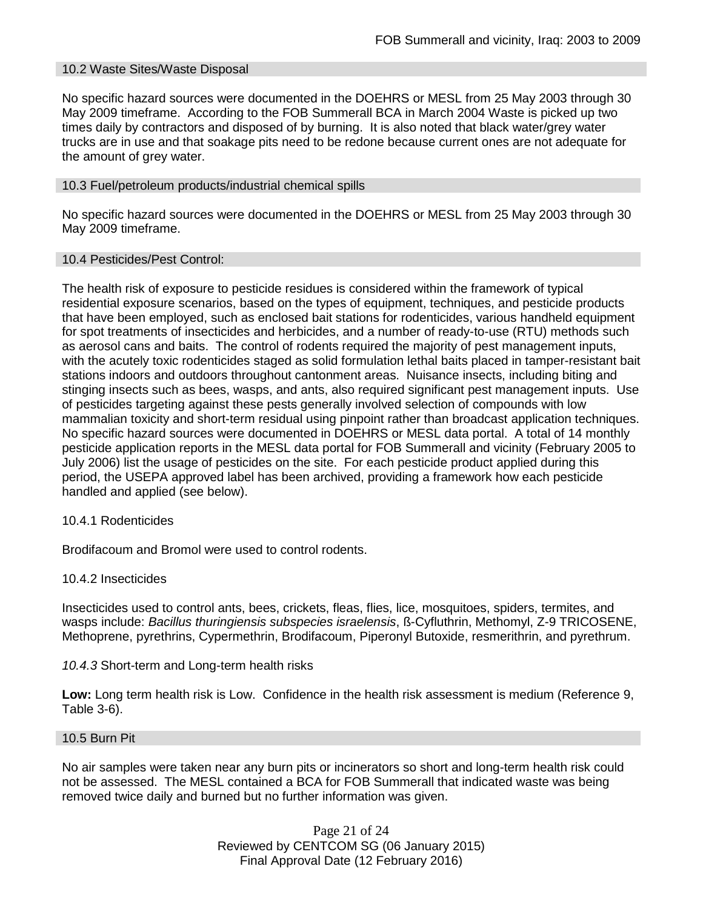### 10.2 Waste Sites/Waste Disposal

No specific hazard sources were documented in the DOEHRS or MESL from 25 May 2003 through 30 May 2009 timeframe. According to the FOB Summerall BCA in March 2004 Waste is picked up two times daily by contractors and disposed of by burning. It is also noted that black water/grey water trucks are in use and that soakage pits need to be redone because current ones are not adequate for the amount of grey water.

### 10.3 Fuel/petroleum products/industrial chemical spills

No specific hazard sources were documented in the DOEHRS or MESL from 25 May 2003 through 30 May 2009 timeframe.

### 10.4 Pesticides/Pest Control:

The health risk of exposure to pesticide residues is considered within the framework of typical residential exposure scenarios, based on the types of equipment, techniques, and pesticide products that have been employed, such as enclosed bait stations for rodenticides, various handheld equipment for spot treatments of insecticides and herbicides, and a number of ready-to-use (RTU) methods such as aerosol cans and baits. The control of rodents required the majority of pest management inputs, with the acutely toxic rodenticides staged as solid formulation lethal baits placed in tamper-resistant bait stations indoors and outdoors throughout cantonment areas. Nuisance insects, including biting and stinging insects such as bees, wasps, and ants, also required significant pest management inputs. Use of pesticides targeting against these pests generally involved selection of compounds with low mammalian toxicity and short-term residual using pinpoint rather than broadcast application techniques. No specific hazard sources were documented in DOEHRS or MESL data portal. A total of 14 monthly pesticide application reports in the MESL data portal for FOB Summerall and vicinity (February 2005 to July 2006) list the usage of pesticides on the site. For each pesticide product applied during this period, the USEPA approved label has been archived, providing a framework how each pesticide handled and applied (see below).

### 10.4.1 Rodenticides

Brodifacoum and Bromol were used to control rodents.

### 10.4.2 Insecticides

Insecticides used to control ants, bees, crickets, fleas, flies, lice, mosquitoes, spiders, termites, and wasps include: *Bacillus thuringiensis subspecies israelensis*, ß-Cyfluthrin, Methomyl, Z-9 TRICOSENE, Methoprene, pyrethrins, Cypermethrin, Brodifacoum, Piperonyl Butoxide, resmerithrin, and pyrethrum.

### *10.4.3* Short-term and Long-term health risks

**Low:** Long term health risk is Low. Confidence in the health risk assessment is medium (Reference 9, Table 3-6).

#### 10.5 Burn Pit

No air samples were taken near any burn pits or incinerators so short and long-term health risk could not be assessed. The MESL contained a BCA for FOB Summerall that indicated waste was being removed twice daily and burned but no further information was given.

> Page 21 of 24 Reviewed by CENTCOM SG (06 January 2015) Final Approval Date (12 February 2016)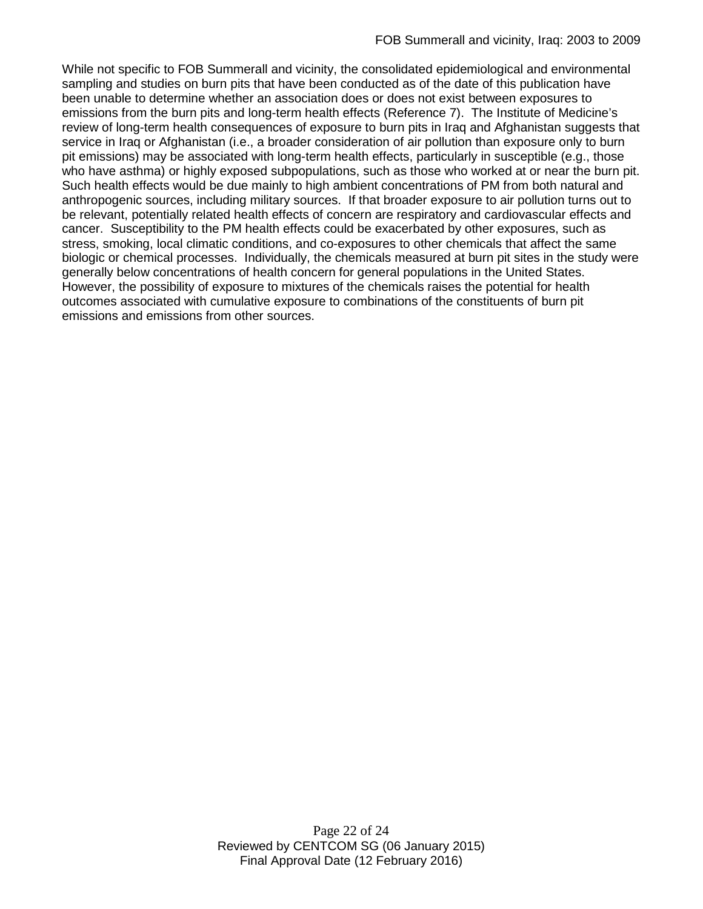While not specific to FOB Summerall and vicinity, the consolidated epidemiological and environmental sampling and studies on burn pits that have been conducted as of the date of this publication have been unable to determine whether an association does or does not exist between exposures to emissions from the burn pits and long-term health effects (Reference 7). The Institute of Medicine's review of long-term health consequences of exposure to burn pits in Iraq and Afghanistan suggests that service in Iraq or Afghanistan (i.e., a broader consideration of air pollution than exposure only to burn pit emissions) may be associated with long-term health effects, particularly in susceptible (e.g., those who have asthma) or highly exposed subpopulations, such as those who worked at or near the burn pit. Such health effects would be due mainly to high ambient concentrations of PM from both natural and anthropogenic sources, including military sources. If that broader exposure to air pollution turns out to be relevant, potentially related health effects of concern are respiratory and cardiovascular effects and cancer. Susceptibility to the PM health effects could be exacerbated by other exposures, such as stress, smoking, local climatic conditions, and co-exposures to other chemicals that affect the same biologic or chemical processes. Individually, the chemicals measured at burn pit sites in the study were generally below concentrations of health concern for general populations in the United States. However, the possibility of exposure to mixtures of the chemicals raises the potential for health outcomes associated with cumulative exposure to combinations of the constituents of burn pit emissions and emissions from other sources.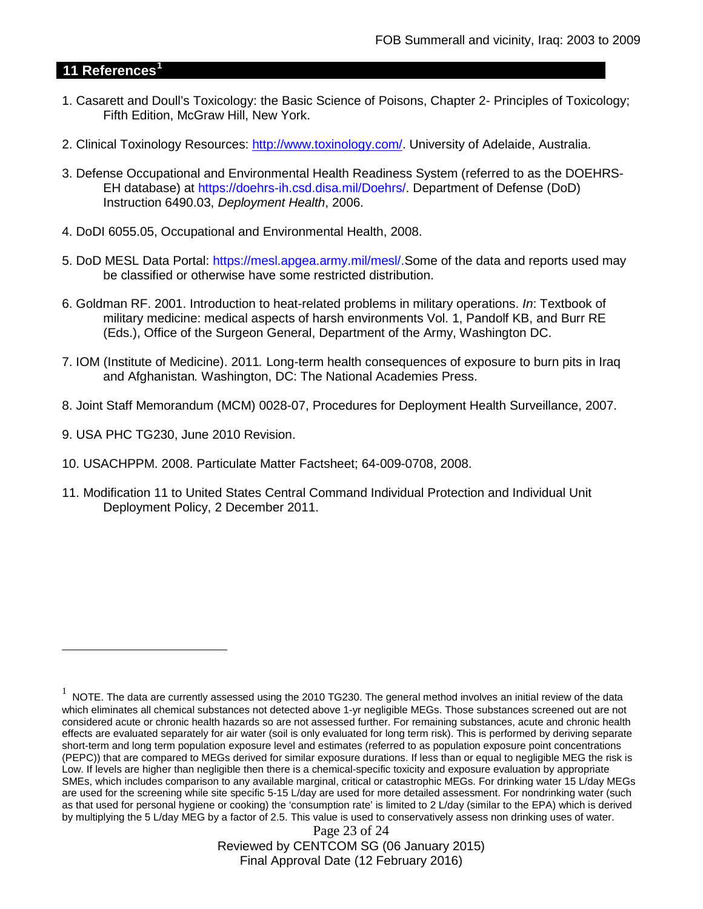### **11 References[1](#page-22-0)**

- 1. Casarett and Doull's Toxicology: the Basic Science of Poisons, Chapter 2- Principles of Toxicology; Fifth Edition, McGraw Hill, New York.
- 2. Clinical Toxinology Resources: [http://www.toxinology.com/.](http://www.toxinology.com/) University of Adelaide, Australia.
- 3. Defense Occupational and Environmental Health Readiness System (referred to as the DOEHRS-EH database) at https://doehrs-ih.csd.disa.mil/Doehrs/. Department of Defense (DoD) Instruction 6490.03, *Deployment Health*, 2006.
- 4. DoDI 6055.05, Occupational and Environmental Health, 2008.
- 5. DoD MESL Data Portal: https://mesl.apgea.army.mil/mesl/.Some of the data and reports used may be classified or otherwise have some restricted distribution.
- 6. Goldman RF. 2001. Introduction to heat-related problems in military operations. *In*: Textbook of military medicine: medical aspects of harsh environments Vol. 1, Pandolf KB, and Burr RE (Eds.), Office of the Surgeon General, Department of the Army, Washington DC.
- 7. IOM (Institute of Medicine). 2011*.* Long-term health consequences of exposure to burn pits in Iraq and Afghanistan*.* Washington, DC: The National Academies Press.
- 8. Joint Staff Memorandum (MCM) 0028-07, Procedures for Deployment Health Surveillance, 2007.
- 9. USA PHC TG230, June 2010 Revision.

 $\overline{a}$ 

- 10. USACHPPM. 2008. Particulate Matter Factsheet; 64-009-0708, 2008.
- 11. Modification 11 to United States Central Command Individual Protection and Individual Unit Deployment Policy, 2 December 2011.

Page 23 of 24 Reviewed by CENTCOM SG (06 January 2015) Final Approval Date (12 February 2016)

<span id="page-22-0"></span> $1$  NOTE. The data are currently assessed using the 2010 TG230. The general method involves an initial review of the data which eliminates all chemical substances not detected above 1-yr negligible MEGs. Those substances screened out are not considered acute or chronic health hazards so are not assessed further. For remaining substances, acute and chronic health effects are evaluated separately for air water (soil is only evaluated for long term risk). This is performed by deriving separate short-term and long term population exposure level and estimates (referred to as population exposure point concentrations (PEPC)) that are compared to MEGs derived for similar exposure durations. If less than or equal to negligible MEG the risk is Low. If levels are higher than negligible then there is a chemical-specific toxicity and exposure evaluation by appropriate SMEs, which includes comparison to any available marginal, critical or catastrophic MEGs. For drinking water 15 L/day MEGs are used for the screening while site specific 5-15 L/day are used for more detailed assessment. For nondrinking water (such as that used for personal hygiene or cooking) the 'consumption rate' is limited to 2 L/day (similar to the EPA) which is derived by multiplying the 5 L/day MEG by a factor of 2.5. This value is used to conservatively assess non drinking uses of water.